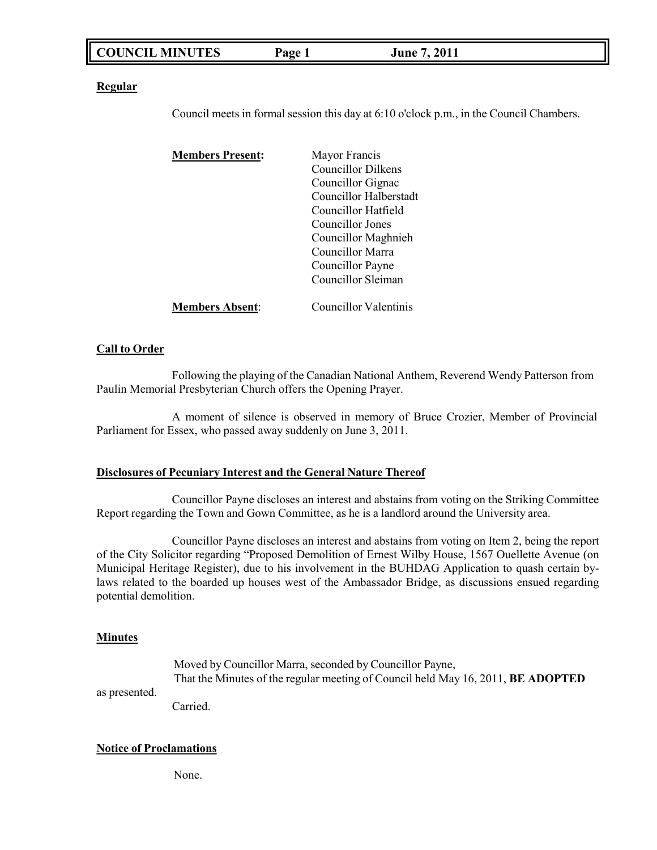|--|

**Regular**

Council meets in formal session this day at 6:10 o'clock p.m., in the Council Chambers.

| <b>Members Present:</b> | Mayor Francis             |
|-------------------------|---------------------------|
|                         | <b>Councillor Dilkens</b> |
|                         | Councillor Gignac         |
|                         | Councillor Halberstadt    |
|                         | Councillor Hatfield       |
|                         | Councillor Jones          |
|                         | Councillor Maghnieh       |
|                         | Councillor Marra          |
|                         | Councillor Payne          |
|                         | Councillor Sleiman        |
| <b>Members Absent:</b>  | Councillor Valentinis     |

#### **Call to Order**

Following the playing of the Canadian National Anthem, Reverend Wendy Patterson from Paulin Memorial Presbyterian Church offers the Opening Prayer.

A moment of silence is observed in memory of Bruce Crozier, Member of Provincial Parliament for Essex, who passed away suddenly on June 3, 2011.

### **Disclosures of Pecuniary Interest and the General Nature Thereof**

Councillor Payne discloses an interest and abstains from voting on the Striking Committee Report regarding the Town and Gown Committee, as he is a landlord around the University area.

Councillor Payne discloses an interest and abstains from voting on Item 2, being the report of the City Solicitor regarding "Proposed Demolition of Ernest Wilby House, 1567 Ouellette Avenue (on Municipal Heritage Register), due to his involvement in the BUHDAG Application to quash certain bylaws related to the boarded up houses west of the Ambassador Bridge, as discussions ensued regarding potential demolition.

#### **Minutes**

Moved by Councillor Marra, seconded by Councillor Payne, That the Minutes of the regular meeting of Council held May 16, 2011, **BE ADOPTED**

as presented.

Carried.

#### **Notice of Proclamations**

None.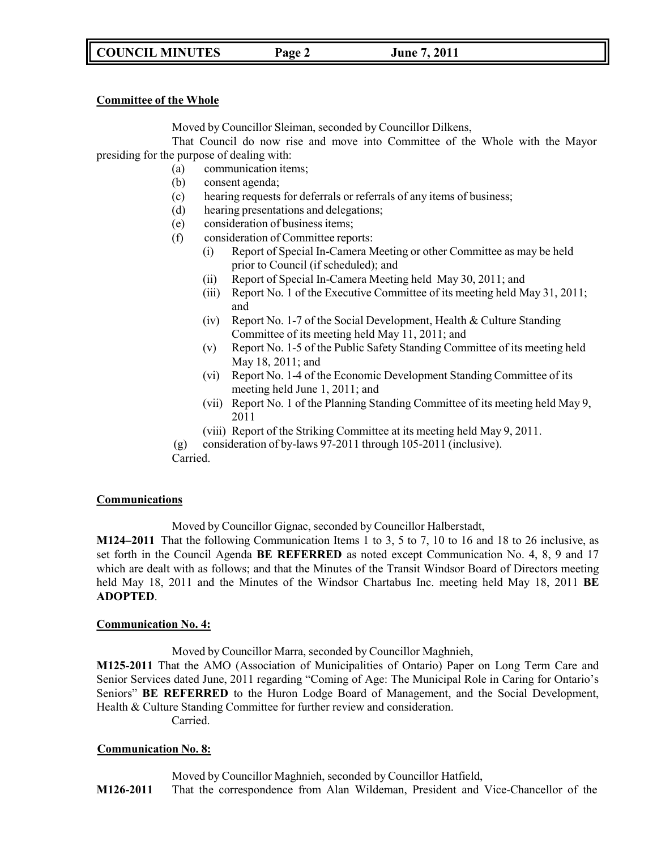# **COUNCIL MINUTES Page 2 June 7, 2011**

### **Committee of the Whole**

Moved by Councillor Sleiman, seconded by Councillor Dilkens,

That Council do now rise and move into Committee of the Whole with the Mayor presiding for the purpose of dealing with:

- (a) communication items;
- (b) consent agenda;
- (c) hearing requests for deferrals or referrals of any items of business;
- (d) hearing presentations and delegations;
- (e) consideration of business items;
- (f) consideration of Committee reports:
	- (i) Report of Special In-Camera Meeting or other Committee as may be held prior to Council (if scheduled); and
	- (ii) Report of Special In-Camera Meeting held May 30, 2011; and
	- (iii) Report No. 1 of the Executive Committee of its meeting held May 31, 2011; and
	- (iv) Report No. 1-7 of the Social Development, Health & Culture Standing Committee of its meeting held May 11, 2011; and
	- (v) Report No. 1-5 of the Public Safety Standing Committee of its meeting held May 18, 2011; and
	- (vi) Report No. 1-4 of the Economic Development Standing Committee of its meeting held June 1, 2011; and
	- (vii) Report No. 1 of the Planning Standing Committee of its meeting held May 9, 2011
	- (viii) Report of the Striking Committee at its meeting held May 9, 2011.
- (g) consideration of by-laws 97-2011 through 105-2011 (inclusive).

Carried.

### **Communications**

Moved by Councillor Gignac, seconded by Councillor Halberstadt,

**M124–2011** That the following Communication Items 1 to 3, 5 to 7, 10 to 16 and 18 to 26 inclusive, as set forth in the Council Agenda **BE REFERRED** as noted except Communication No. 4, 8, 9 and 17 which are dealt with as follows; and that the Minutes of the Transit Windsor Board of Directors meeting held May 18, 2011 and the Minutes of the Windsor Chartabus Inc. meeting held May 18, 2011 **BE ADOPTED**.

### **Communication No. 4:**

Moved by Councillor Marra, seconded by Councillor Maghnieh,

**M125-2011** That the AMO (Association of Municipalities of Ontario) Paper on Long Term Care and Senior Services dated June, 2011 regarding "Coming of Age: The Municipal Role in Caring for Ontario's Seniors" **BE REFERRED** to the Huron Lodge Board of Management, and the Social Development, Health & Culture Standing Committee for further review and consideration.

Carried.

### **Communication No. 8:**

Moved by Councillor Maghnieh, seconded by Councillor Hatfield,

**M126-2011** That the correspondence from Alan Wildeman, President and Vice-Chancellor of the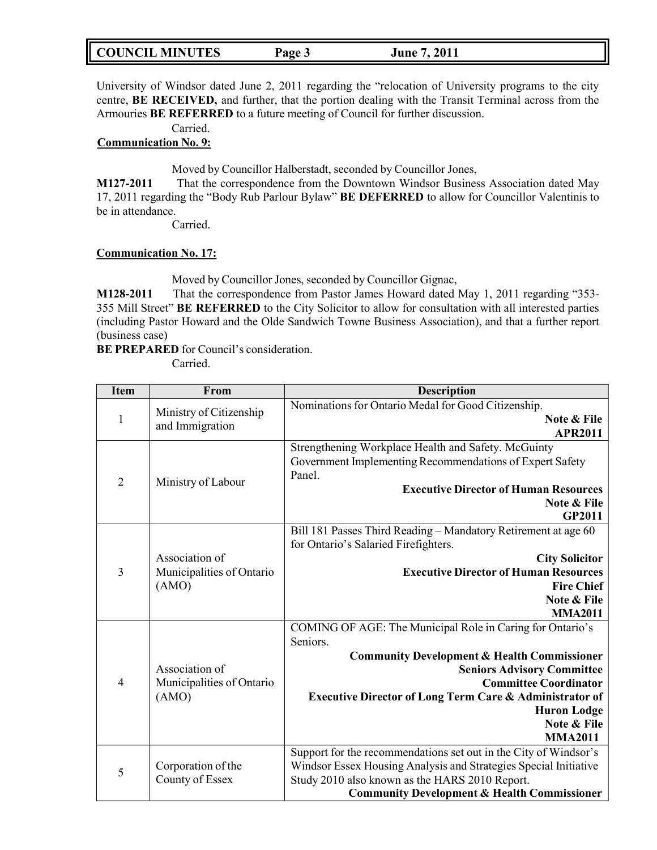| <b>COUNCIL MINUTES</b> | Page 3 | June 7, 2011 |
|------------------------|--------|--------------|
|------------------------|--------|--------------|

University of Windsor dated June 2, 2011 regarding the "relocation of University programs to the city centre, **BE RECEIVED,** and further, that the portion dealing with the Transit Terminal across from the Armouries **BE REFERRED** to a future meeting of Council for further discussion.

Carried.

### **Communication No. 9:**

Moved by Councillor Halberstadt, seconded by Councillor Jones,

**M127-2011** That the correspondence from the Downtown Windsor Business Association dated May 17, 2011 regarding the "Body Rub Parlour Bylaw" **BE DEFERRED** to allow for Councillor Valentinis to be in attendance.

Carried.

### **Communication No. 17:**

Moved by Councillor Jones, seconded by Councillor Gignac,

**M128-2011** That the correspondence from Pastor James Howard dated May 1, 2011 regarding "353- 355 Mill Street" **BE REFERRED** to the City Solicitor to allow for consultation with all interested parties (including Pastor Howard and the Olde Sandwich Towne Business Association), and that a further report (business case)

**BE PREPARED** for Council's consideration.

Carried.

| <b>Item</b>    | From                                                 | <b>Description</b>                                                                                                                                                                                                                                                                                                                           |
|----------------|------------------------------------------------------|----------------------------------------------------------------------------------------------------------------------------------------------------------------------------------------------------------------------------------------------------------------------------------------------------------------------------------------------|
| $\mathbf{1}$   | Ministry of Citizenship<br>and Immigration           | Nominations for Ontario Medal for Good Citizenship.<br>Note & File<br><b>APR2011</b>                                                                                                                                                                                                                                                         |
| $\overline{2}$ | Ministry of Labour                                   | Strengthening Workplace Health and Safety. McGuinty<br>Government Implementing Recommendations of Expert Safety<br>Panel.<br><b>Executive Director of Human Resources</b><br>Note & File<br><b>GP2011</b>                                                                                                                                    |
| 3              | Association of<br>Municipalities of Ontario<br>(AMO) | Bill 181 Passes Third Reading - Mandatory Retirement at age 60<br>for Ontario's Salaried Firefighters.<br><b>City Solicitor</b><br><b>Executive Director of Human Resources</b><br><b>Fire Chief</b><br>Note & File<br><b>MMA2011</b>                                                                                                        |
| $\overline{4}$ | Association of<br>Municipalities of Ontario<br>(AMO) | COMING OF AGE: The Municipal Role in Caring for Ontario's<br>Seniors.<br><b>Community Development &amp; Health Commissioner</b><br><b>Seniors Advisory Committee</b><br><b>Committee Coordinator</b><br><b>Executive Director of Long Term Care &amp; Administrator of</b><br><b>Huron Lodge</b><br><b>Note &amp; File</b><br><b>MMA2011</b> |
| 5              | Corporation of the<br>County of Essex                | Support for the recommendations set out in the City of Windsor's<br>Windsor Essex Housing Analysis and Strategies Special Initiative<br>Study 2010 also known as the HARS 2010 Report.<br><b>Community Development &amp; Health Commissioner</b>                                                                                             |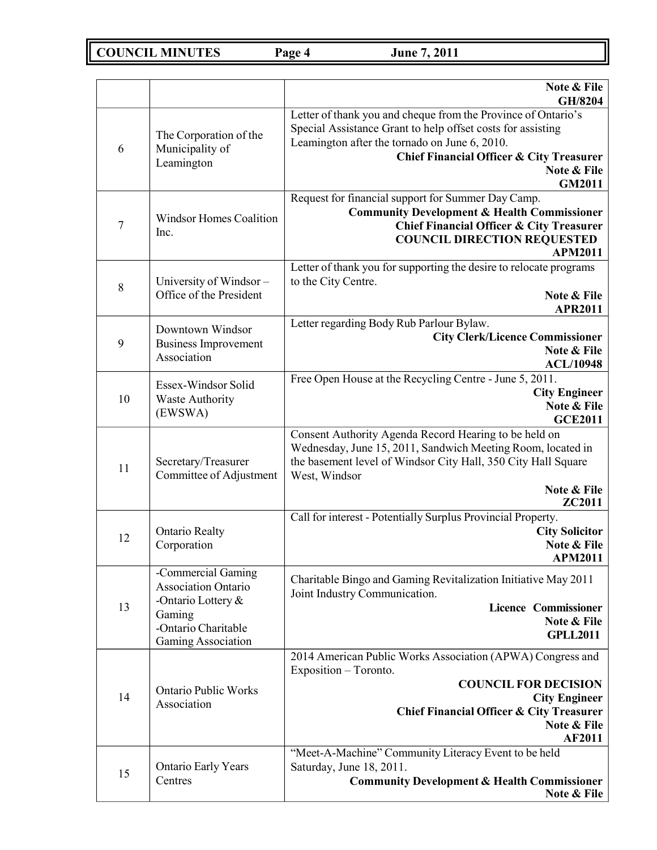**COUNCIL MINUTES Page 4 June 7, 2011**

|                |                                                                                                                               | Note & File<br>GH/8204                                                                                                                                                                                                                             |
|----------------|-------------------------------------------------------------------------------------------------------------------------------|----------------------------------------------------------------------------------------------------------------------------------------------------------------------------------------------------------------------------------------------------|
| 6              | The Corporation of the<br>Municipality of<br>Leamington                                                                       | Letter of thank you and cheque from the Province of Ontario's<br>Special Assistance Grant to help offset costs for assisting<br>Leamington after the tornado on June 6, 2010.<br>Chief Financial Officer & City Treasurer<br>Note & File<br>GM2011 |
| $\overline{7}$ | <b>Windsor Homes Coalition</b><br>Inc.                                                                                        | Request for financial support for Summer Day Camp.<br><b>Community Development &amp; Health Commissioner</b><br><b>Chief Financial Officer &amp; City Treasurer</b><br><b>COUNCIL DIRECTION REQUESTED</b><br><b>APM2011</b>                        |
| 8              | University of Windsor-<br>Office of the President                                                                             | Letter of thank you for supporting the desire to relocate programs<br>to the City Centre.<br>Note & File<br><b>APR2011</b>                                                                                                                         |
| 9              | Downtown Windsor<br><b>Business Improvement</b><br>Association                                                                | Letter regarding Body Rub Parlour Bylaw.<br><b>City Clerk/Licence Commissioner</b><br>Note & File<br><b>ACL/10948</b>                                                                                                                              |
| 10             | Essex-Windsor Solid<br><b>Waste Authority</b><br>(EWSWA)                                                                      | Free Open House at the Recycling Centre - June 5, 2011.<br><b>City Engineer</b><br>Note & File<br><b>GCE2011</b>                                                                                                                                   |
| 11             | Secretary/Treasurer<br>Committee of Adjustment                                                                                | Consent Authority Agenda Record Hearing to be held on<br>Wednesday, June 15, 2011, Sandwich Meeting Room, located in<br>the basement level of Windsor City Hall, 350 City Hall Square<br>West, Windsor<br>Note & File<br>ZC2011                    |
| 12             | <b>Ontario Realty</b><br>Corporation                                                                                          | Call for interest - Potentially Surplus Provincial Property.<br><b>City Solicitor</b><br>Note & File<br><b>APM2011</b>                                                                                                                             |
| 13             | -Commercial Gaming<br><b>Association Ontario</b><br>-Ontario Lottery &<br>Gaming<br>-Ontario Charitable<br>Gaming Association | Charitable Bingo and Gaming Revitalization Initiative May 2011<br>Joint Industry Communication.<br><b>Licence Commissioner</b><br>Note & File<br><b>GPLL2011</b>                                                                                   |
| 14             | <b>Ontario Public Works</b><br>Association                                                                                    | 2014 American Public Works Association (APWA) Congress and<br>Exposition - Toronto.<br><b>COUNCIL FOR DECISION</b><br><b>City Engineer</b><br><b>Chief Financial Officer &amp; City Treasurer</b><br>Note & File<br>AF2011                         |
| 15             | <b>Ontario Early Years</b><br>Centres                                                                                         | "Meet-A-Machine" Community Literacy Event to be held<br>Saturday, June 18, 2011.<br><b>Community Development &amp; Health Commissioner</b><br>Note & File                                                                                          |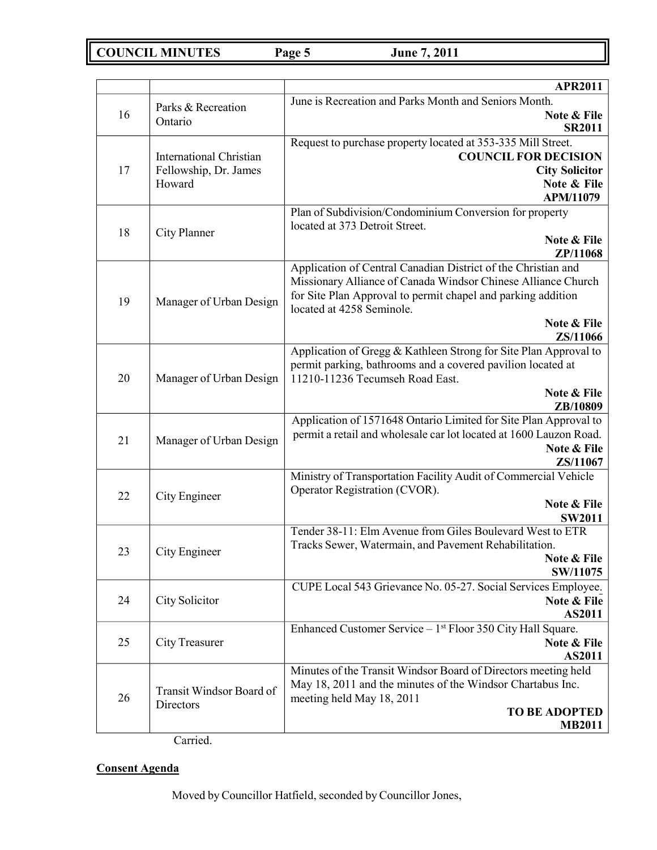**COUNCIL MINUTES Page 5 June 7, 2011**

|                    |                                       | <b>APR2011</b>                                                                                                                 |
|--------------------|---------------------------------------|--------------------------------------------------------------------------------------------------------------------------------|
| Parks & Recreation |                                       | June is Recreation and Parks Month and Seniors Month.                                                                          |
| 16                 | Ontario                               | Note & File<br><b>SR2011</b>                                                                                                   |
|                    |                                       | Request to purchase property located at 353-335 Mill Street.                                                                   |
|                    | <b>International Christian</b>        | <b>COUNCIL FOR DECISION</b>                                                                                                    |
| 17                 | Fellowship, Dr. James                 | <b>City Solicitor</b>                                                                                                          |
|                    | Howard                                | Note & File                                                                                                                    |
|                    |                                       | APM/11079<br>Plan of Subdivision/Condominium Conversion for property                                                           |
|                    |                                       | located at 373 Detroit Street.                                                                                                 |
| 18                 | City Planner                          | Note & File                                                                                                                    |
|                    |                                       | ZP/11068                                                                                                                       |
|                    |                                       | Application of Central Canadian District of the Christian and<br>Missionary Alliance of Canada Windsor Chinese Alliance Church |
|                    |                                       | for Site Plan Approval to permit chapel and parking addition                                                                   |
| 19                 | Manager of Urban Design               | located at 4258 Seminole.                                                                                                      |
|                    |                                       | Note & File                                                                                                                    |
|                    |                                       | ZS/11066<br>Application of Gregg & Kathleen Strong for Site Plan Approval to                                                   |
|                    |                                       | permit parking, bathrooms and a covered pavilion located at                                                                    |
| 20                 | Manager of Urban Design               | 11210-11236 Tecumseh Road East.                                                                                                |
|                    |                                       | Note & File                                                                                                                    |
|                    |                                       | ZB/10809<br>Application of 1571648 Ontario Limited for Site Plan Approval to                                                   |
| 21                 |                                       | permit a retail and wholesale car lot located at 1600 Lauzon Road.                                                             |
|                    | Manager of Urban Design               | Note & File                                                                                                                    |
|                    |                                       | ZS/11067<br>Ministry of Transportation Facility Audit of Commercial Vehicle                                                    |
|                    |                                       | Operator Registration (CVOR).                                                                                                  |
| 22                 | City Engineer                         | Note & File                                                                                                                    |
|                    |                                       | <b>SW2011</b>                                                                                                                  |
|                    |                                       | Tender 38-11: Elm Avenue from Giles Boulevard West to ETR<br>Tracks Sewer, Watermain, and Pavement Rehabilitation.             |
| 23                 | City Engineer                         | Note & File                                                                                                                    |
|                    |                                       | SW/11075                                                                                                                       |
|                    |                                       | CUPE Local 543 Grievance No. 05-27. Social Services Employee.                                                                  |
| 24                 | City Solicitor                        | Note & File<br><b>AS2011</b>                                                                                                   |
|                    |                                       | Enhanced Customer Service - 1 <sup>st</sup> Floor 350 City Hall Square.                                                        |
| 25                 | <b>City Treasurer</b>                 | Note & File                                                                                                                    |
|                    |                                       | AS2011                                                                                                                         |
| 26                 | Transit Windsor Board of<br>Directors | Minutes of the Transit Windsor Board of Directors meeting held<br>May 18, 2011 and the minutes of the Windsor Chartabus Inc.   |
|                    |                                       | meeting held May 18, 2011                                                                                                      |
|                    |                                       | <b>TO BE ADOPTED</b>                                                                                                           |
|                    |                                       | <b>MB2011</b>                                                                                                                  |

Carried.

# **Consent Agenda**

Moved by Councillor Hatfield, seconded by Councillor Jones,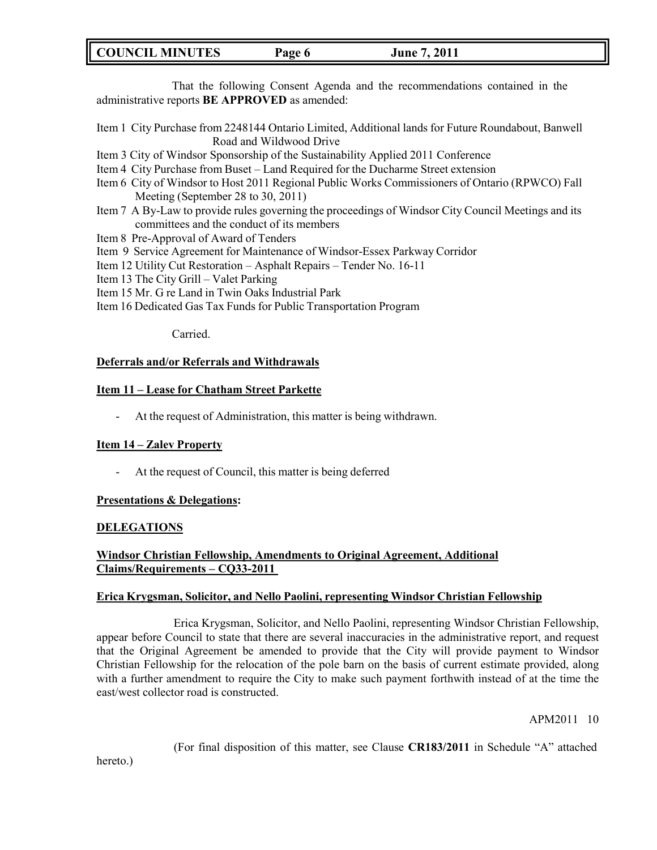# **COUNCIL MINUTES Page 6 June 7, 2011**

That the following Consent Agenda and the recommendations contained in the administrative reports **BE APPROVED** as amended:

- Item 1 City Purchase from 2248144 Ontario Limited, Additional lands for Future Roundabout, Banwell Road and Wildwood Drive
- Item 3 City of Windsor Sponsorship of the Sustainability Applied 2011 Conference
- Item 4 City Purchase from Buset Land Required for the Ducharme Street extension
- Item 6 City of Windsor to Host 2011 Regional Public Works Commissioners of Ontario (RPWCO) Fall Meeting (September 28 to 30, 2011)
- Item 7 A By-Law to provide rules governing the proceedings of Windsor City Council Meetings and its committees and the conduct of its members
- Item 8 Pre-Approval of Award of Tenders
- Item 9 Service Agreement for Maintenance of Windsor-Essex Parkway Corridor
- Item 12 Utility Cut Restoration Asphalt Repairs Tender No. 16-11
- Item 13 The City Grill Valet Parking
- Item 15 Mr. G re Land in Twin Oaks Industrial Park
- Item 16 Dedicated Gas Tax Funds for Public Transportation Program

Carried.

### **Deferrals and/or Referrals and Withdrawals**

# **Item 11 – Lease for Chatham Street Parkette**

- At the request of Administration, this matter is being withdrawn.

#### **Item 14 – Zalev Property**

- At the request of Council, this matter is being deferred

### **Presentations & Delegations:**

#### **DELEGATIONS**

# **Windsor Christian Fellowship, Amendments to Original Agreement, Additional Claims/Requirements – CQ33-2011**

#### **Erica Krygsman, Solicitor, and Nello Paolini, representing Windsor Christian Fellowship**

Erica Krygsman, Solicitor, and Nello Paolini, representing Windsor Christian Fellowship, appear before Council to state that there are several inaccuracies in the administrative report, and request that the Original Agreement be amended to provide that the City will provide payment to Windsor Christian Fellowship for the relocation of the pole barn on the basis of current estimate provided, along with a further amendment to require the City to make such payment forthwith instead of at the time the east/west collector road is constructed.

APM2011 10

(For final disposition of this matter, see Clause **CR183/2011** in Schedule "A" attached

hereto.)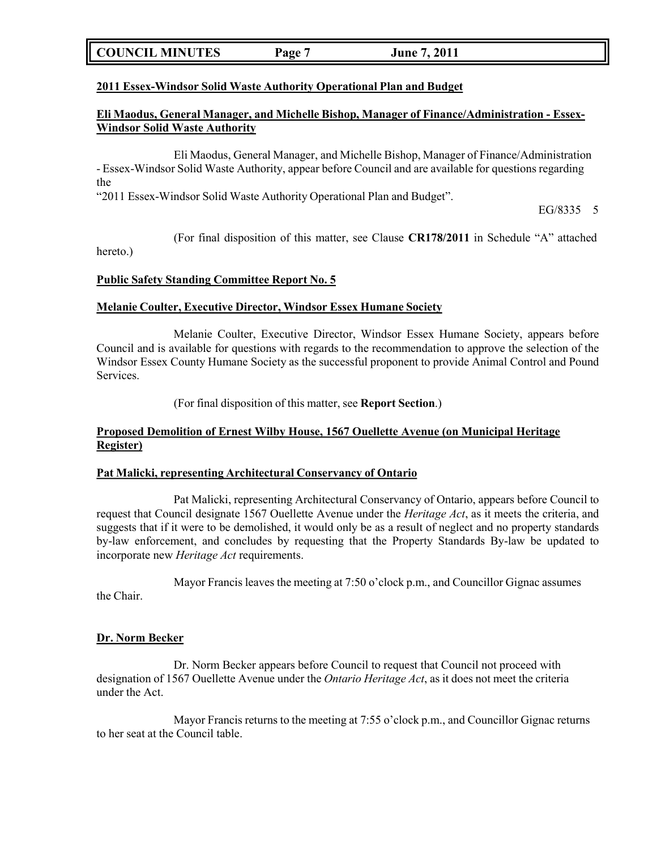| <b>COUNCIL MINUTES</b> | <b>Page</b> | <b>June 7, 2011</b> |  |
|------------------------|-------------|---------------------|--|
|------------------------|-------------|---------------------|--|

### **2011 Essex-Windsor Solid Waste Authority Operational Plan and Budget**

### **Eli Maodus, General Manager, and Michelle Bishop, Manager of Finance/Administration - Essex-Windsor Solid Waste Authority**

Eli Maodus, General Manager, and Michelle Bishop, Manager of Finance/Administration - Essex-Windsor Solid Waste Authority, appear before Council and are available for questions regarding the

"2011 Essex-Windsor Solid Waste Authority Operational Plan and Budget".

EG/8335 5

(For final disposition of this matter, see Clause **CR178/2011** in Schedule "A" attached hereto.)

### **Public Safety Standing Committee Report No. 5**

### **Melanie Coulter, Executive Director, Windsor Essex Humane Society**

Melanie Coulter, Executive Director, Windsor Essex Humane Society, appears before Council and is available for questions with regards to the recommendation to approve the selection of the Windsor Essex County Humane Society as the successful proponent to provide Animal Control and Pound Services.

(For final disposition of this matter, see **Report Section**.)

### **Proposed Demolition of Ernest Wilby House, 1567 Ouellette Avenue (on Municipal Heritage Register)**

### **Pat Malicki, representing Architectural Conservancy of Ontario**

Pat Malicki, representing Architectural Conservancy of Ontario, appears before Council to request that Council designate 1567 Ouellette Avenue under the *Heritage Act*, as it meets the criteria, and suggests that if it were to be demolished, it would only be as a result of neglect and no property standards by-law enforcement, and concludes by requesting that the Property Standards By-law be updated to incorporate new *Heritage Act* requirements.

Mayor Francis leaves the meeting at 7:50 o'clock p.m., and Councillor Gignac assumes

the Chair.

### **Dr. Norm Becker**

Dr. Norm Becker appears before Council to request that Council not proceed with designation of 1567 Ouellette Avenue under the *Ontario Heritage Act*, as it does not meet the criteria under the Act.

Mayor Francis returns to the meeting at 7:55 o'clock p.m., and Councillor Gignac returns to her seat at the Council table.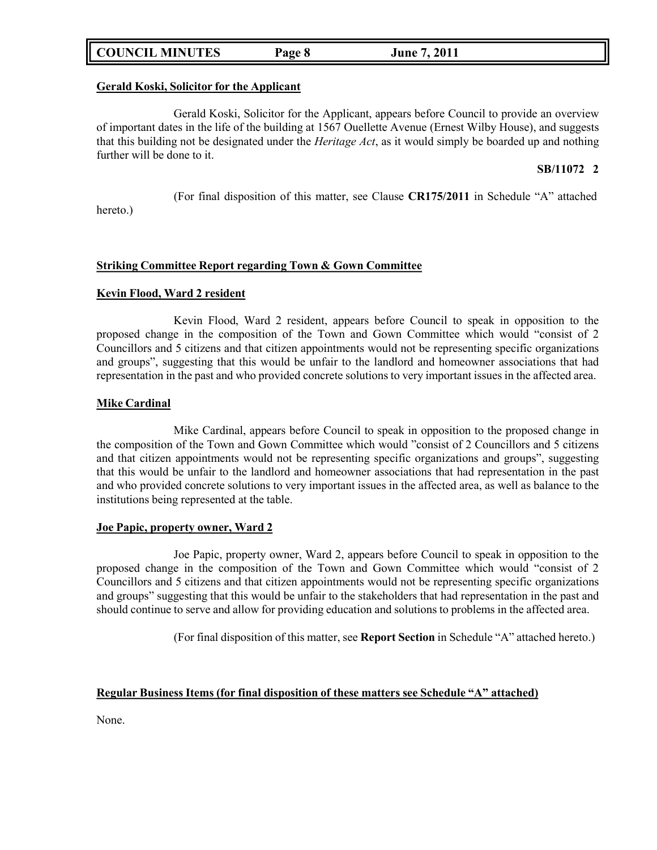# **COUNCIL MINUTES Page 8 June 7, 2011**

### **Gerald Koski, Solicitor for the Applicant**

Gerald Koski, Solicitor for the Applicant, appears before Council to provide an overview of important dates in the life of the building at 1567 Ouellette Avenue (Ernest Wilby House), and suggests that this building not be designated under the *Heritage Act*, as it would simply be boarded up and nothing further will be done to it.

### **SB/11072 2**

(For final disposition of this matter, see Clause **CR175/2011** in Schedule "A" attached

hereto.)

### **Striking Committee Report regarding Town & Gown Committee**

### **Kevin Flood, Ward 2 resident**

Kevin Flood, Ward 2 resident, appears before Council to speak in opposition to the proposed change in the composition of the Town and Gown Committee which would "consist of 2 Councillors and 5 citizens and that citizen appointments would not be representing specific organizations and groups", suggesting that this would be unfair to the landlord and homeowner associations that had representation in the past and who provided concrete solutions to very important issues in the affected area.

### **Mike Cardinal**

Mike Cardinal, appears before Council to speak in opposition to the proposed change in the composition of the Town and Gown Committee which would "consist of 2 Councillors and 5 citizens and that citizen appointments would not be representing specific organizations and groups", suggesting that this would be unfair to the landlord and homeowner associations that had representation in the past and who provided concrete solutions to very important issues in the affected area, as well as balance to the institutions being represented at the table.

#### **Joe Papic, property owner, Ward 2**

Joe Papic, property owner, Ward 2, appears before Council to speak in opposition to the proposed change in the composition of the Town and Gown Committee which would "consist of 2 Councillors and 5 citizens and that citizen appointments would not be representing specific organizations and groups" suggesting that this would be unfair to the stakeholders that had representation in the past and should continue to serve and allow for providing education and solutions to problems in the affected area.

(For final disposition of this matter, see **Report Section** in Schedule "A" attached hereto.)

#### **Regular Business Items (for final disposition of these matters see Schedule "A" attached)**

None.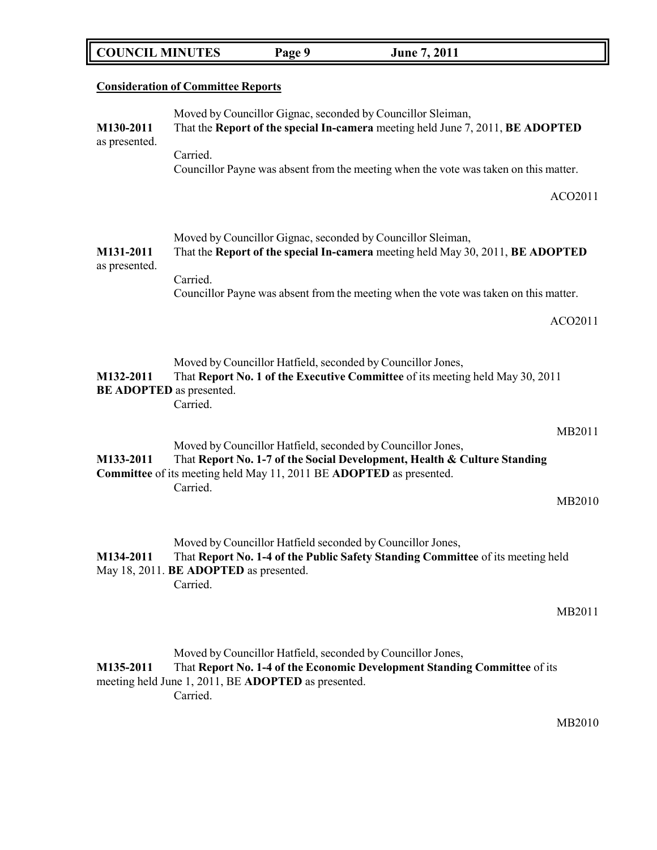| <b>COUNCIL MINUTES</b> | Page 9 | <b>June 7, 2011</b> |  |
|------------------------|--------|---------------------|--|
|------------------------|--------|---------------------|--|

|                                              | <b>Consideration of Committee Reports</b>                                                                                                                                                                                              |  |
|----------------------------------------------|----------------------------------------------------------------------------------------------------------------------------------------------------------------------------------------------------------------------------------------|--|
| M130-2011                                    | Moved by Councillor Gignac, seconded by Councillor Sleiman,<br>That the Report of the special In-camera meeting held June 7, 2011, BE ADOPTED                                                                                          |  |
| as presented.                                | Carried.<br>Councillor Payne was absent from the meeting when the vote was taken on this matter.                                                                                                                                       |  |
|                                              | ACO2011                                                                                                                                                                                                                                |  |
| M131-2011<br>as presented.                   | Moved by Councillor Gignac, seconded by Councillor Sleiman,<br>That the Report of the special In-camera meeting held May 30, 2011, BE ADOPTED                                                                                          |  |
|                                              | Carried.<br>Councillor Payne was absent from the meeting when the vote was taken on this matter.                                                                                                                                       |  |
|                                              | ACO2011                                                                                                                                                                                                                                |  |
| M132-2011<br><b>BE ADOPTED</b> as presented. | Moved by Councillor Hatfield, seconded by Councillor Jones,<br>That Report No. 1 of the Executive Committee of its meeting held May 30, 2011<br>Carried.                                                                               |  |
| M133-2011                                    | MB2011<br>Moved by Councillor Hatfield, seconded by Councillor Jones,<br>That Report No. 1-7 of the Social Development, Health & Culture Standing<br><b>Committee</b> of its meeting held May 11, 2011 BE <b>ADOPTED</b> as presented. |  |
|                                              | Carried.<br>MB2010                                                                                                                                                                                                                     |  |
| M134-2011                                    | Moved by Councillor Hatfield seconded by Councillor Jones,<br>That Report No. 1-4 of the Public Safety Standing Committee of its meeting held<br>May 18, 2011. BE ADOPTED as presented.<br>Carried.                                    |  |
|                                              | MB2011                                                                                                                                                                                                                                 |  |
| M135-2011                                    | Moved by Councillor Hatfield, seconded by Councillor Jones,<br>That Report No. 1-4 of the Economic Development Standing Committee of its                                                                                               |  |

meeting held June 1, 2011, BE **ADOPTED** as presented.

Carried.

MB2010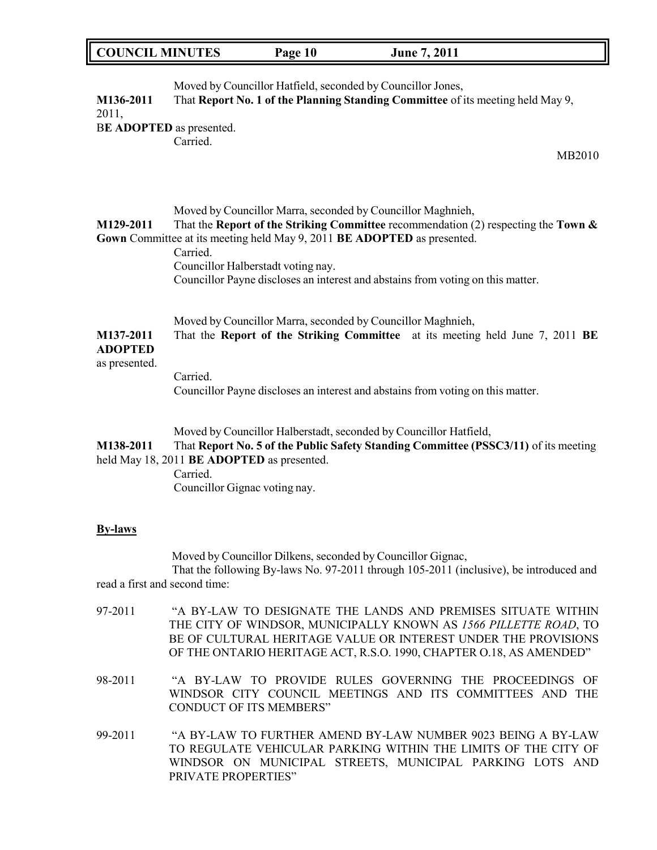| <b>COUNCIL MINUTES</b><br>Page 10 | <b>June 7, 2011</b> |
|-----------------------------------|---------------------|
|-----------------------------------|---------------------|

| M136-2011<br>2011,<br>BE ADOPTED as presented. | Moved by Councillor Hatfield, seconded by Councillor Jones,<br>That Report No. 1 of the Planning Standing Committee of its meeting held May 9,<br>Carried.<br>MB2010                                                                                                                                                                                                 |
|------------------------------------------------|----------------------------------------------------------------------------------------------------------------------------------------------------------------------------------------------------------------------------------------------------------------------------------------------------------------------------------------------------------------------|
| M129-2011                                      | Moved by Councillor Marra, seconded by Councillor Maghnieh,<br>That the Report of the Striking Committee recommendation (2) respecting the Town $\&$<br>Gown Committee at its meeting held May 9, 2011 BE ADOPTED as presented.<br>Carried.<br>Councillor Halberstadt voting nay.<br>Councillor Payne discloses an interest and abstains from voting on this matter. |
| M137-2011<br><b>ADOPTED</b><br>as presented.   | Moved by Councillor Marra, seconded by Councillor Maghnieh,<br>That the Report of the Striking Committee at its meeting held June 7, 2011 BE                                                                                                                                                                                                                         |
|                                                | Carried.<br>Councillor Payne discloses an interest and abstains from voting on this matter.                                                                                                                                                                                                                                                                          |
| M138-2011                                      | Moved by Councillor Halberstadt, seconded by Councillor Hatfield,<br>That Report No. 5 of the Public Safety Standing Committee (PSSC3/11) of its meeting<br>held May 18, 2011 BE ADOPTED as presented.<br>Carried.<br>Councillor Gignac voting nay.                                                                                                                  |
| <b>By-laws</b>                                 |                                                                                                                                                                                                                                                                                                                                                                      |
| read a first and second time:                  | Moved by Councillor Dilkens, seconded by Councillor Gignac,<br>That the following By-laws No. 97-2011 through 105-2011 (inclusive), be introduced and                                                                                                                                                                                                                |
| 97-2011                                        | "A BY-LAW TO DESIGNATE THE LANDS AND PREMISES SITUATE WITHIN<br>THE CITY OF WINDSOR, MUNICIPALLY KNOWN AS 1566 PILLETTE ROAD, TO<br>BE OF CULTURAL HERITAGE VALUE OR INTEREST UNDER THE PROVISIONS<br>OF THE ONTARIO HERITAGE ACT, R.S.O. 1990, CHAPTER O.18, AS AMENDED"                                                                                            |
| 98-2011                                        | "A BY-LAW TO PROVIDE RULES GOVERNING THE PROCEEDINGS OF<br>WINDSOR CITY COUNCIL MEETINGS AND ITS COMMITTEES AND THE<br><b>CONDUCT OF ITS MEMBERS"</b>                                                                                                                                                                                                                |

99-2011 "A BY-LAW TO FURTHER AMEND BY-LAW NUMBER 9023 BEING A BY-LAW TO REGULATE VEHICULAR PARKING WITHIN THE LIMITS OF THE CITY OF WINDSOR ON MUNICIPAL STREETS, MUNICIPAL PARKING LOTS AND PRIVATE PROPERTIES"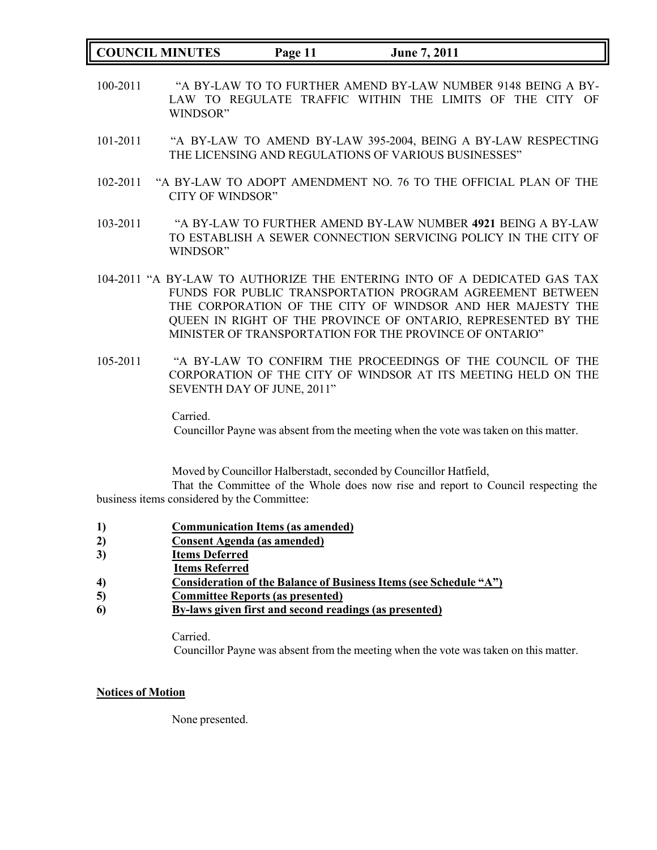**COUNCIL MINUTES Page 11 June 7, 2011**

- 100-2011 "A BY-LAW TO TO FURTHER AMEND BY-LAW NUMBER 9148 BEING A BY-LAW TO REGULATE TRAFFIC WITHIN THE LIMITS OF THE CITY OF WINDSOR"
- 101-2011 "A BY-LAW TO AMEND BY-LAW 395-2004, BEING A BY-LAW RESPECTING THE LICENSING AND REGULATIONS OF VARIOUS BUSINESSES"
- 102-2011 "A BY-LAW TO ADOPT AMENDMENT NO. 76 TO THE OFFICIAL PLAN OF THE CITY OF WINDSOR"
- 103-2011 "A BY-LAW TO FURTHER AMEND BY-LAW NUMBER **4921** BEING A BY-LAW TO ESTABLISH A SEWER CONNECTION SERVICING POLICY IN THE CITY OF WINDSOR"
- 104-2011 "A BY-LAW TO AUTHORIZE THE ENTERING INTO OF A DEDICATED GAS TAX FUNDS FOR PUBLIC TRANSPORTATION PROGRAM AGREEMENT BETWEEN THE CORPORATION OF THE CITY OF WINDSOR AND HER MAJESTY THE QUEEN IN RIGHT OF THE PROVINCE OF ONTARIO, REPRESENTED BY THE MINISTER OF TRANSPORTATION FOR THE PROVINCE OF ONTARIO"
- 105-2011 "A BY-LAW TO CONFIRM THE PROCEEDINGS OF THE COUNCIL OF THE CORPORATION OF THE CITY OF WINDSOR AT ITS MEETING HELD ON THE SEVENTH DAY OF JUNE, 2011"

Carried.

Councillor Payne was absent from the meeting when the vote was taken on this matter.

Moved by Councillor Halberstadt, seconded by Councillor Hatfield,

That the Committee of the Whole does now rise and report to Council respecting the business items considered by the Committee:

- **1) Communication Items (as amended)**
- **2) Consent Agenda (as amended)**
- **3) Items Deferred**
- **Items Referred**
- **4) Consideration of the Balance of Business Items (see Schedule "A")**
- **5) Committee Reports (as presented)**
- **6) By-laws given first and second readings (as presented)**

Carried.

Councillor Payne was absent from the meeting when the vote was taken on this matter.

#### **Notices of Motion**

None presented.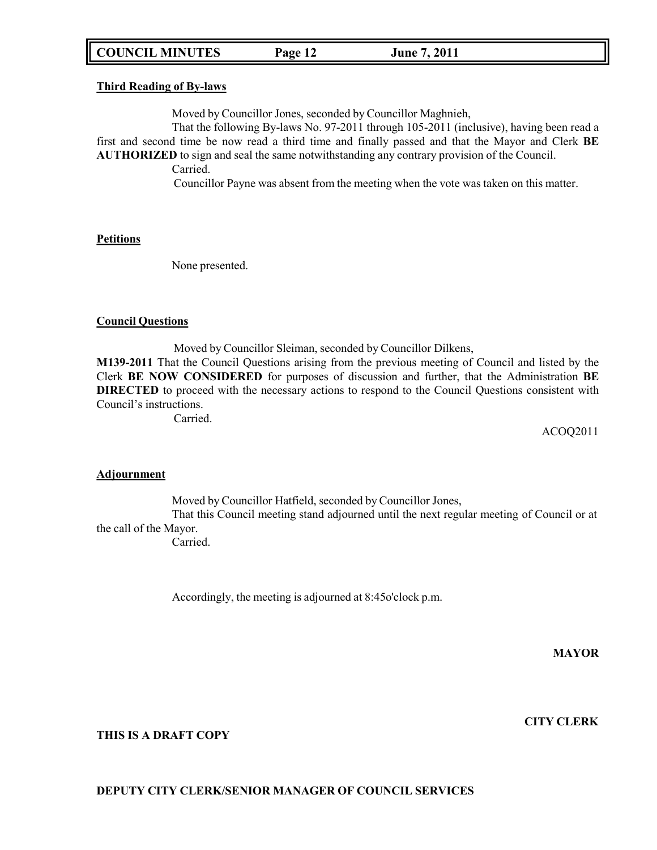# **COUNCIL MINUTES Page 12 June 7, 2011**

#### **Third Reading of By-laws**

Moved by Councillor Jones, seconded by Councillor Maghnieh,

That the following By-laws No. 97-2011 through 105-2011 (inclusive), having been read a first and second time be now read a third time and finally passed and that the Mayor and Clerk **BE AUTHORIZED** to sign and seal the same notwithstanding any contrary provision of the Council. Carried.

Councillor Payne was absent from the meeting when the vote was taken on this matter.

#### **Petitions**

None presented.

#### **Council Questions**

Moved by Councillor Sleiman, seconded by Councillor Dilkens, **M139-2011** That the Council Questions arising from the previous meeting of Council and listed by the Clerk **BE NOW CONSIDERED** for purposes of discussion and further, that the Administration **BE DIRECTED** to proceed with the necessary actions to respond to the Council Questions consistent with Council's instructions.

Carried.

ACOQ2011

#### **Adjournment**

Moved by Councillor Hatfield, seconded by Councillor Jones,

That this Council meeting stand adjourned until the next regular meeting of Council or at the call of the Mayor.

Carried.

Accordingly, the meeting is adjourned at 8:45o'clock p.m.

**MAYOR**

# **CITY CLERK**

**THIS IS A DRAFT COPY**

#### **DEPUTY CITY CLERK/SENIOR MANAGER OF COUNCIL SERVICES**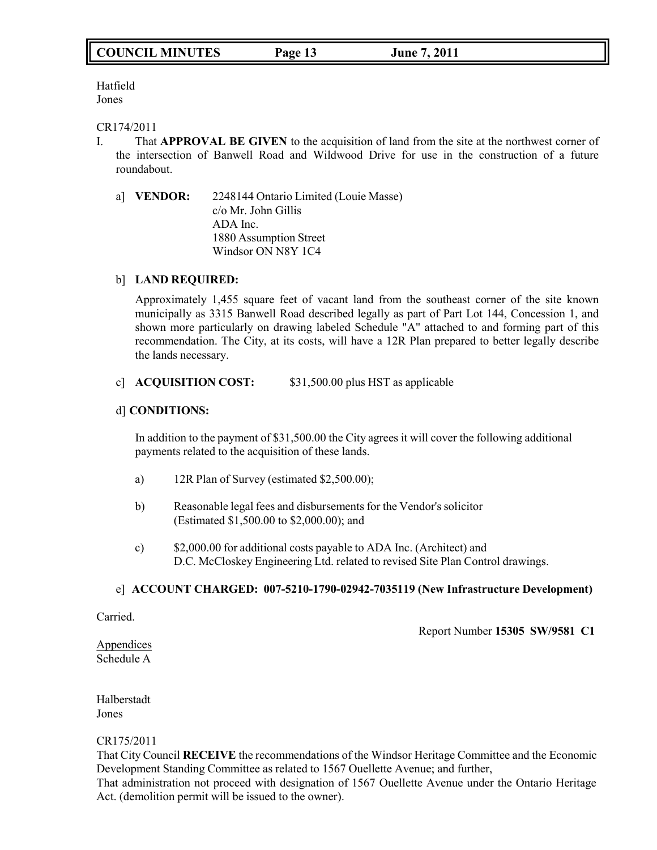Hatfield Jones

### CR174/2011

- I. That **APPROVAL BE GIVEN** to the acquisition of land from the site at the northwest corner of the intersection of Banwell Road and Wildwood Drive for use in the construction of a future roundabout.
	- a] **VENDOR:** 2248144 Ontario Limited (Louie Masse) c/o Mr. John Gillis ADA Inc. 1880 Assumption Street Windsor ON N8Y 1C4

### b] **LAND REQUIRED:**

Approximately 1,455 square feet of vacant land from the southeast corner of the site known municipally as 3315 Banwell Road described legally as part of Part Lot 144, Concession 1, and shown more particularly on drawing labeled Schedule "A" attached to and forming part of this recommendation. The City, at its costs, will have a 12R Plan prepared to better legally describe the lands necessary.

### c] **ACQUISITION COST:** \$31,500.00 plus HST as applicable

### d] **CONDITIONS:**

In addition to the payment of \$31,500.00 the City agrees it will cover the following additional payments related to the acquisition of these lands.

- a) 12R Plan of Survey (estimated \$2,500.00);
- b) Reasonable legal fees and disbursements for the Vendor's solicitor (Estimated \$1,500.00 to \$2,000.00); and
- c) \$2,000.00 for additional costs payable to ADA Inc. (Architect) and D.C. McCloskey Engineering Ltd. related to revised Site Plan Control drawings.

#### e] **ACCOUNT CHARGED: 007-5210-1790-02942-7035119 (New Infrastructure Development)**

Carried.

Report Number **15305 SW/9581 C1**

Appendices Schedule A

Halberstadt Jones

CR175/2011

That City Council **RECEIVE** the recommendations of the Windsor Heritage Committee and the Economic Development Standing Committee as related to 1567 Ouellette Avenue; and further, That administration not proceed with designation of 1567 Ouellette Avenue under the Ontario Heritage Act. (demolition permit will be issued to the owner).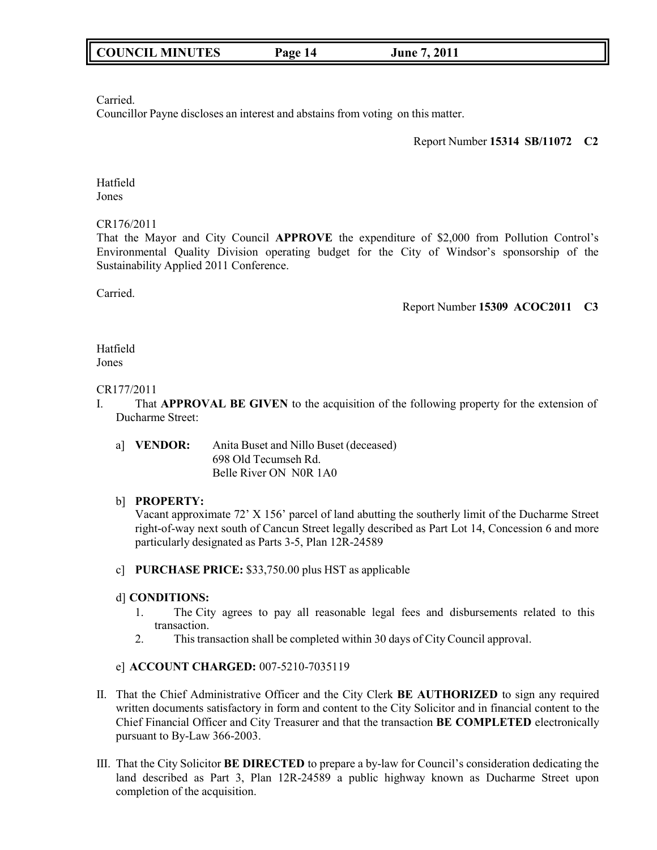Carried.

Councillor Payne discloses an interest and abstains from voting on this matter.

### Report Number **15314 SB/11072 C2**

Hatfield Jones

### CR176/2011

That the Mayor and City Council **APPROVE** the expenditure of \$2,000 from Pollution Control's Environmental Quality Division operating budget for the City of Windsor's sponsorship of the Sustainability Applied 2011 Conference.

Carried.

### Report Number **15309 ACOC2011 C3**

Hatfield Jones

### CR177/2011

- I. That **APPROVAL BE GIVEN** to the acquisition of the following property for the extension of Ducharme Street:
	- a] **VENDOR:** Anita Buset and Nillo Buset (deceased) 698 Old Tecumseh Rd. Belle River ON N0R 1A0

### b] **PROPERTY:**

Vacant approximate 72' X 156' parcel of land abutting the southerly limit of the Ducharme Street right-of-way next south of Cancun Street legally described as Part Lot 14, Concession 6 and more particularly designated as Parts 3-5, Plan 12R-24589

c] **PURCHASE PRICE:** \$33,750.00 plus HST as applicable

### d] **CONDITIONS:**

- 1. The City agrees to pay all reasonable legal fees and disbursements related to this transaction.
- 2. This transaction shall be completed within 30 days of City Council approval.

# e] **ACCOUNT CHARGED:** 007-5210-7035119

- II. That the Chief Administrative Officer and the City Clerk **BE AUTHORIZED** to sign any required written documents satisfactory in form and content to the City Solicitor and in financial content to the Chief Financial Officer and City Treasurer and that the transaction **BE COMPLETED** electronically pursuant to By-Law 366-2003.
- III. That the City Solicitor **BE DIRECTED** to prepare a by-law for Council's consideration dedicating the land described as Part 3, Plan 12R-24589 a public highway known as Ducharme Street upon completion of the acquisition.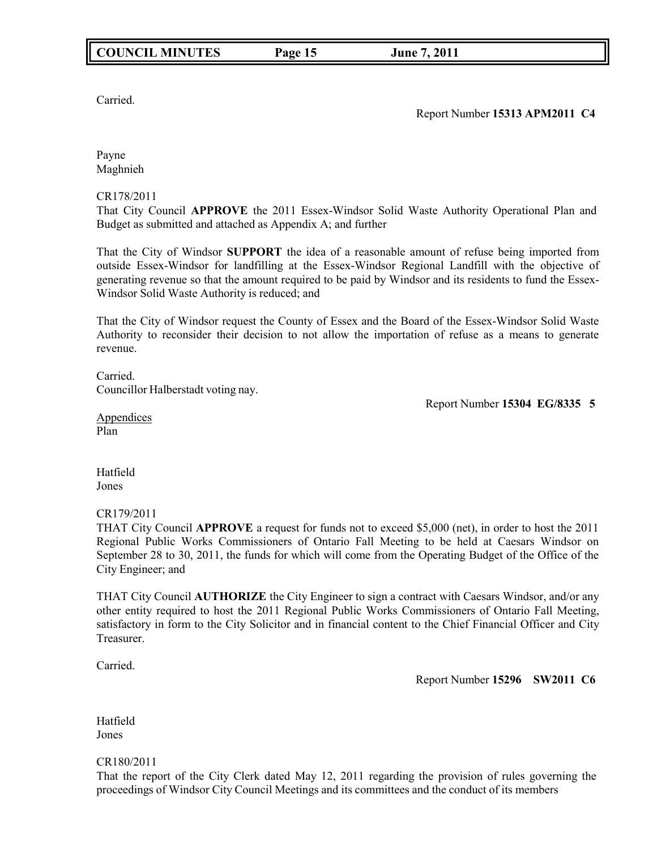Carried.

Report Number **15313 APM2011 C4**

Payne Maghnieh

CR178/2011

That City Council **APPROVE** the 2011 Essex-Windsor Solid Waste Authority Operational Plan and Budget as submitted and attached as Appendix A; and further

That the City of Windsor **SUPPORT** the idea of a reasonable amount of refuse being imported from outside Essex-Windsor for landfilling at the Essex-Windsor Regional Landfill with the objective of generating revenue so that the amount required to be paid by Windsor and its residents to fund the Essex-Windsor Solid Waste Authority is reduced; and

That the City of Windsor request the County of Essex and the Board of the Essex-Windsor Solid Waste Authority to reconsider their decision to not allow the importation of refuse as a means to generate revenue.

Carried. Councillor Halberstadt voting nay.

Report Number **15304 EG/8335 5**

Appendices Plan

Hatfield Jones

CR179/2011

THAT City Council **APPROVE** a request for funds not to exceed \$5,000 (net), in order to host the 2011 Regional Public Works Commissioners of Ontario Fall Meeting to be held at Caesars Windsor on September 28 to 30, 2011, the funds for which will come from the Operating Budget of the Office of the City Engineer; and

THAT City Council **AUTHORIZE** the City Engineer to sign a contract with Caesars Windsor, and/or any other entity required to host the 2011 Regional Public Works Commissioners of Ontario Fall Meeting, satisfactory in form to the City Solicitor and in financial content to the Chief Financial Officer and City Treasurer.

Carried.

Report Number **15296 SW2011 C6**

Hatfield Jones

CR180/2011

That the report of the City Clerk dated May 12, 2011 regarding the provision of rules governing the proceedings of Windsor City Council Meetings and its committees and the conduct of its members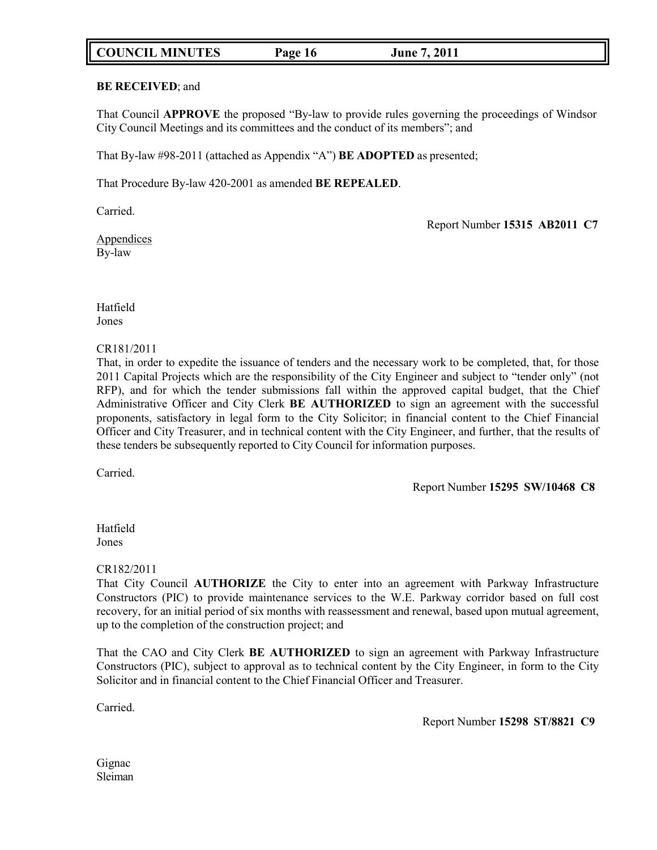# **COUNCIL MINUTES Page 16 June 7, 2011**

### **BE RECEIVED**; and

That Council **APPROVE** the proposed "By-law to provide rules governing the proceedings of Windsor City Council Meetings and its committees and the conduct of its members"; and

That By-law #98-2011 (attached as Appendix "A") **BE ADOPTED** as presented;

That Procedure By-law 420-2001 as amended **BE REPEALED**.

Carried.

Report Number **15315 AB2011 C7**

Appendices By-law

Hatfield Jones

### CR181/2011

That, in order to expedite the issuance of tenders and the necessary work to be completed, that, for those 2011 Capital Projects which are the responsibility of the City Engineer and subject to "tender only" (not RFP), and for which the tender submissions fall within the approved capital budget, that the Chief Administrative Officer and City Clerk **BE AUTHORIZED** to sign an agreement with the successful proponents, satisfactory in legal form to the City Solicitor; in financial content to the Chief Financial Officer and City Treasurer, and in technical content with the City Engineer, and further, that the results of these tenders be subsequently reported to City Council for information purposes.

Carried.

Report Number **15295 SW/10468 C8**

Hatfield Jones

### CR182/2011

That City Council **AUTHORIZE** the City to enter into an agreement with Parkway Infrastructure Constructors (PIC) to provide maintenance services to the W.E. Parkway corridor based on full cost recovery, for an initial period of six months with reassessment and renewal, based upon mutual agreement, up to the completion of the construction project; and

That the CAO and City Clerk **BE AUTHORIZED** to sign an agreement with Parkway Infrastructure Constructors (PIC), subject to approval as to technical content by the City Engineer, in form to the City Solicitor and in financial content to the Chief Financial Officer and Treasurer.

Carried.

Report Number **15298 ST/8821 C9**

Gignac Sleiman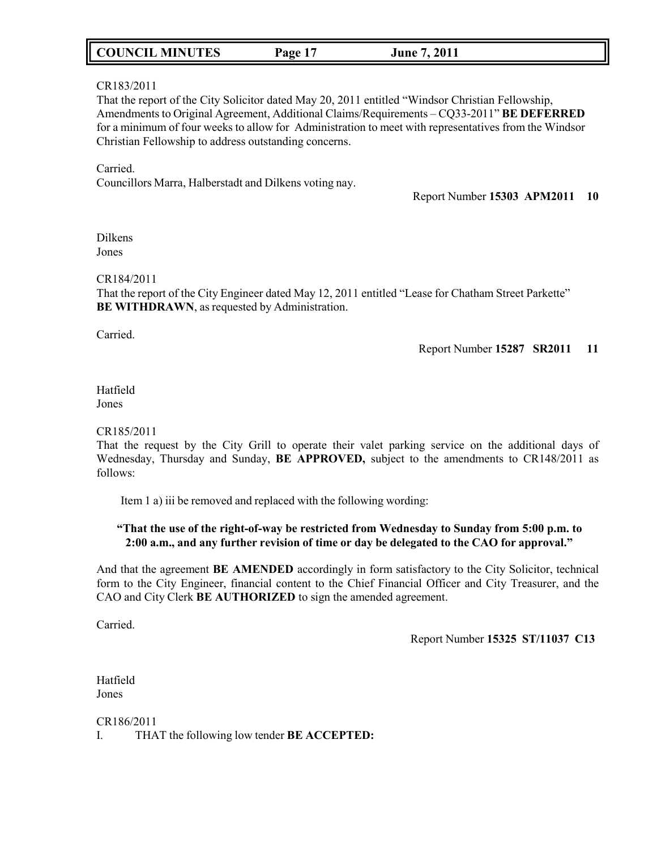| <b>COUNCIL MINUTES</b> | Page | 7, 2011<br>June |
|------------------------|------|-----------------|
|------------------------|------|-----------------|

### CR183/2011

That the report of the City Solicitor dated May 20, 2011 entitled "Windsor Christian Fellowship, Amendments to Original Agreement, Additional Claims/Requirements – CQ33-2011" **BE DEFERRED** for a minimum of four weeks to allow for Administration to meet with representatives from the Windsor Christian Fellowship to address outstanding concerns.

Carried. Councillors Marra, Halberstadt and Dilkens voting nay.

Report Number **15303 APM2011 10**

Dilkens Jones

#### CR184/2011

That the report of the City Engineer dated May 12, 2011 entitled "Lease for Chatham Street Parkette" **BE WITHDRAWN**, as requested by Administration.

Carried.

Report Number **15287 SR2011 11**

#### Hatfield Jones

#### CR185/2011

That the request by the City Grill to operate their valet parking service on the additional days of Wednesday, Thursday and Sunday, **BE APPROVED,** subject to the amendments to CR148/2011 as follows:

Item 1 a) iii be removed and replaced with the following wording:

### **"That the use of the right-of-way be restricted from Wednesday to Sunday from 5:00 p.m. to 2:00 a.m., and any further revision of time or day be delegated to the CAO for approval."**

And that the agreement **BE AMENDED** accordingly in form satisfactory to the City Solicitor, technical form to the City Engineer, financial content to the Chief Financial Officer and City Treasurer, and the CAO and City Clerk **BE AUTHORIZED** to sign the amended agreement.

Carried.

Report Number **15325 ST/11037 C13**

Hatfield Jones

CR186/2011 I. THAT the following low tender **BE ACCEPTED:**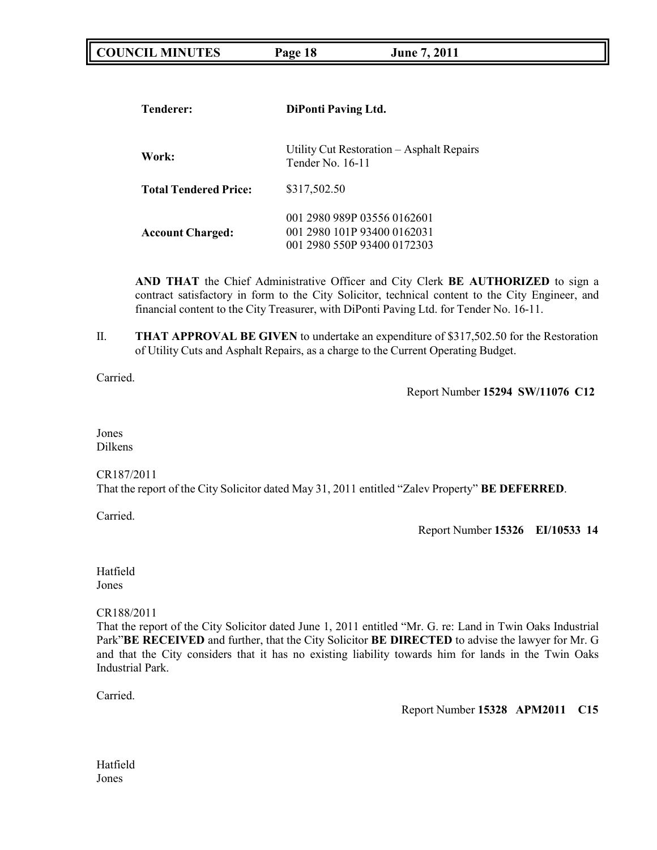| <b>COUNCIL MINUTES</b> | Page 18 | <b>June 7, 2011</b> |  |
|------------------------|---------|---------------------|--|
|------------------------|---------|---------------------|--|

| <b>Tenderer:</b>             | <b>DiPonti Paving Ltd.</b>                                                                |  |
|------------------------------|-------------------------------------------------------------------------------------------|--|
| Work:                        | Utility Cut Restoration – Asphalt Repairs<br>Tender No. 16-11                             |  |
| <b>Total Tendered Price:</b> | \$317,502.50                                                                              |  |
| <b>Account Charged:</b>      | 001 2980 989P 03556 0162601<br>001 2980 101P 93400 0162031<br>001 2980 550P 93400 0172303 |  |

**AND THAT** the Chief Administrative Officer and City Clerk **BE AUTHORIZED** to sign a contract satisfactory in form to the City Solicitor, technical content to the City Engineer, and financial content to the City Treasurer, with DiPonti Paving Ltd. for Tender No. 16-11.

II. **THAT APPROVAL BE GIVEN** to undertake an expenditure of \$317,502.50 for the Restoration of Utility Cuts and Asphalt Repairs, as a charge to the Current Operating Budget.

Carried.

Report Number **15294 SW/11076 C12**

Jones Dilkens

CR187/2011

That the report of the City Solicitor dated May 31, 2011 entitled "Zalev Property" **BE DEFERRED**.

Carried.

Report Number **15326 EI/10533 14**

Hatfield Jones

CR188/2011

That the report of the City Solicitor dated June 1, 2011 entitled "Mr. G. re: Land in Twin Oaks Industrial Park"**BE RECEIVED** and further, that the City Solicitor **BE DIRECTED** to advise the lawyer for Mr. G and that the City considers that it has no existing liability towards him for lands in the Twin Oaks Industrial Park.

Carried.

Report Number **15328 APM2011 C15**

Hatfield Jones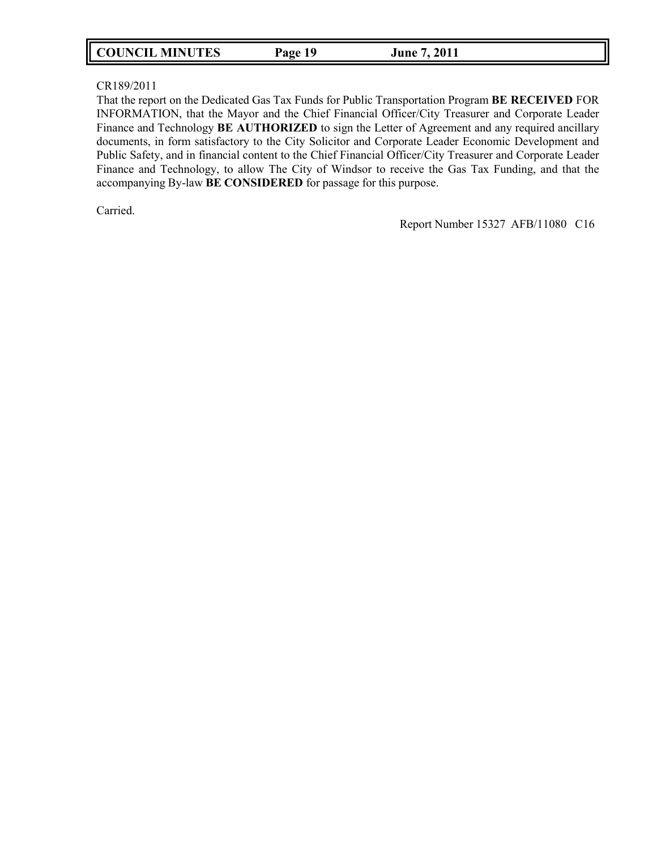| <b>COUNCIL MINUTES</b><br>Page 19 | June 7, 2011 |
|-----------------------------------|--------------|
|-----------------------------------|--------------|

### CR189/2011

That the report on the Dedicated Gas Tax Funds for Public Transportation Program **BE RECEIVED** FOR INFORMATION, that the Mayor and the Chief Financial Officer/City Treasurer and Corporate Leader Finance and Technology **BE AUTHORIZED** to sign the Letter of Agreement and any required ancillary documents, in form satisfactory to the City Solicitor and Corporate Leader Economic Development and Public Safety, and in financial content to the Chief Financial Officer/City Treasurer and Corporate Leader Finance and Technology, to allow The City of Windsor to receive the Gas Tax Funding, and that the accompanying By-law **BE CONSIDERED** for passage for this purpose.

Carried.

Report Number 15327 AFB/11080 C16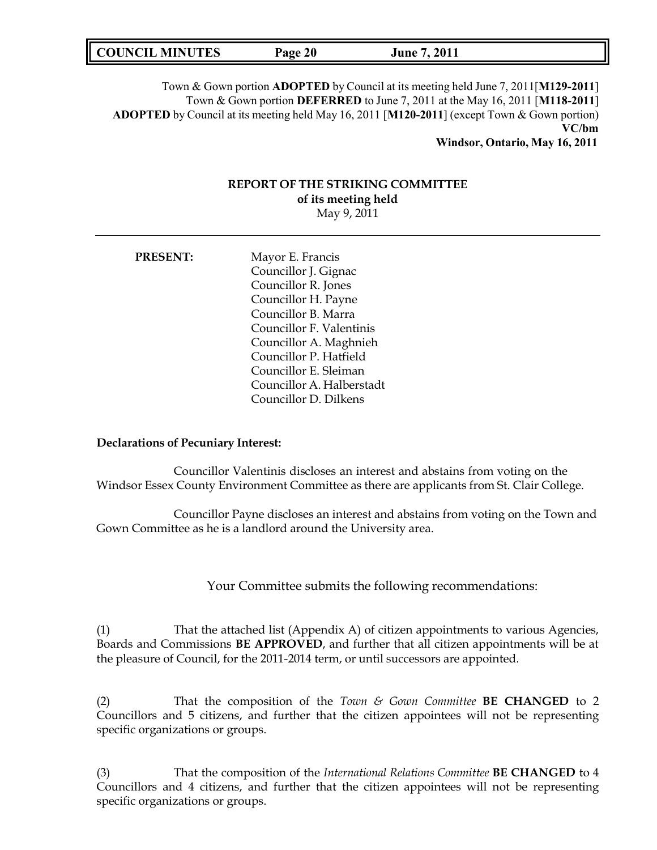| <b>COUNCIL MINUTES</b> | Page 20 | <b>June 7, 2011</b> |  |
|------------------------|---------|---------------------|--|
|------------------------|---------|---------------------|--|

Town & Gown portion **ADOPTED** by Council at its meeting held June 7, 2011[**M129-2011**] Town & Gown portion **DEFERRED** to June 7, 2011 at the May 16, 2011 [**M118-2011**] **ADOPTED** by Council at its meeting held May 16, 2011 [**M120-2011**] (except Town & Gown portion) **VC/bm**

**Windsor, Ontario, May 16, 2011**

# **REPORT OF THE STRIKING COMMITTEE of its meeting held**

May 9, 2011

| <b>PRESENT:</b> | Mayor E. Francis          |
|-----------------|---------------------------|
|                 | Councillor J. Gignac      |
|                 | Councillor R. Jones       |
|                 | Councillor H. Payne       |
|                 | Councillor B. Marra       |
|                 | Councillor F. Valentinis  |
|                 | Councillor A. Maghnieh    |
|                 | Councillor P. Hatfield    |
|                 | Councillor E. Sleiman     |
|                 | Councillor A. Halberstadt |
|                 | Councillor D. Dilkens     |
|                 |                           |

### **Declarations of Pecuniary Interest:**

Councillor Valentinis discloses an interest and abstains from voting on the Windsor Essex County Environment Committee as there are applicants from St. Clair College.

Councillor Payne discloses an interest and abstains from voting on the Town and Gown Committee as he is a landlord around the University area.

Your Committee submits the following recommendations:

(1) That the attached list (Appendix A) of citizen appointments to various Agencies, Boards and Commissions **BE APPROVED**, and further that all citizen appointments will be at the pleasure of Council, for the 2011-2014 term, or until successors are appointed.

(2) That the composition of the *Town & Gown Committee* **BE CHANGED** to 2 Councillors and 5 citizens, and further that the citizen appointees will not be representing specific organizations or groups.

(3) That the composition of the *International Relations Committee* **BE CHANGED** to 4 Councillors and 4 citizens, and further that the citizen appointees will not be representing specific organizations or groups.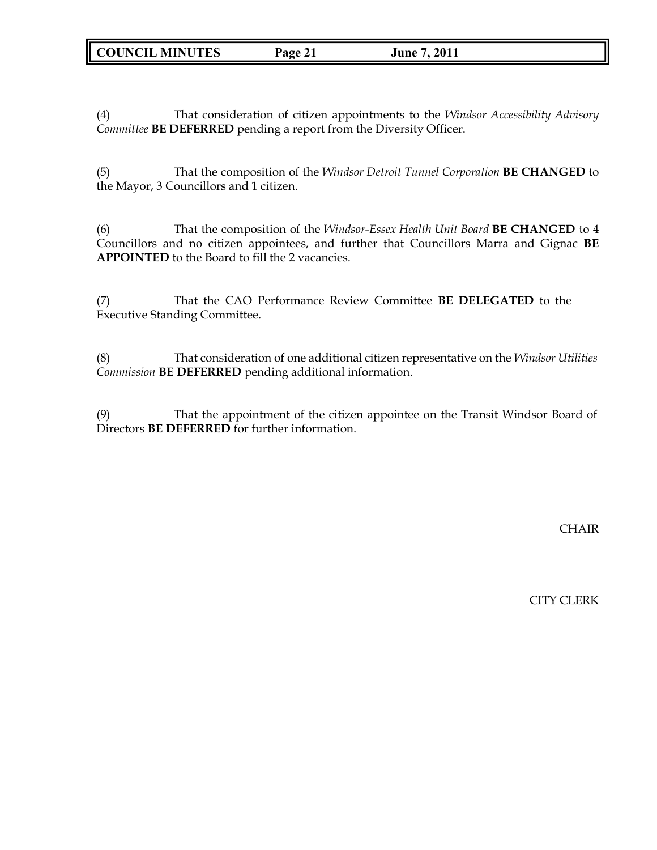(4) That consideration of citizen appointments to the *Windsor Accessibility Advisory Committee* **BE DEFERRED** pending a report from the Diversity Officer.

(5) That the composition of the *Windsor Detroit Tunnel Corporation* **BE CHANGED** to the Mayor, 3 Councillors and 1 citizen.

(6) That the composition of the *Windsor-Essex Health Unit Board* **BE CHANGED** to 4 Councillors and no citizen appointees, and further that Councillors Marra and Gignac **BE APPOINTED** to the Board to fill the 2 vacancies.

(7) That the CAO Performance Review Committee **BE DELEGATED** to the Executive Standing Committee.

(8) That consideration of one additional citizen representative on the *Windsor Utilities Commission* **BE DEFERRED** pending additional information.

(9) That the appointment of the citizen appointee on the Transit Windsor Board of Directors **BE DEFERRED** for further information.

**CHAIR** 

CITY CLERK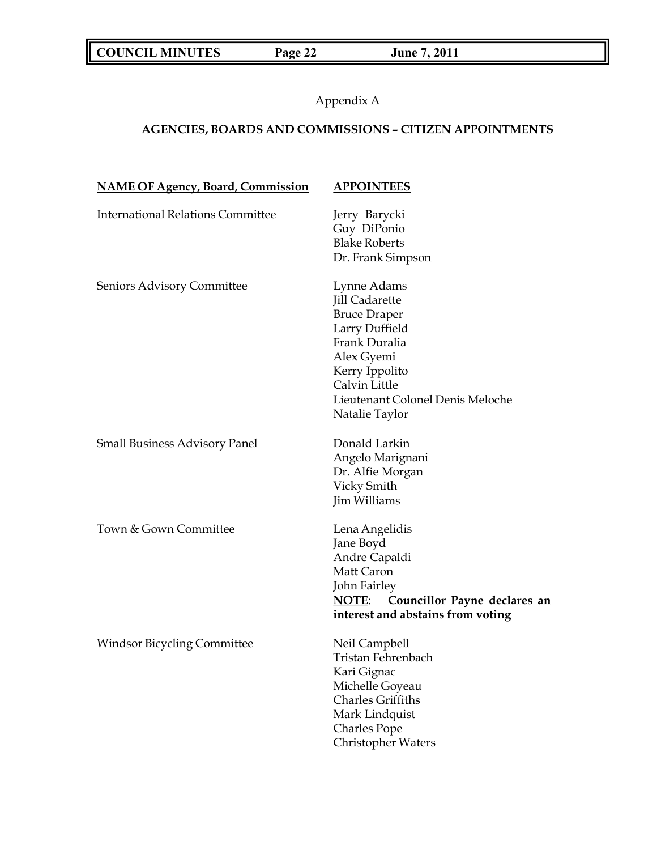**COUNCIL MINUTES Page 22 June 7, 2011**

Appendix A

# **AGENCIES, BOARDS AND COMMISSIONS** *–* **CITIZEN APPOINTMENTS**

| <b>NAME OF Agency, Board, Commission</b> | <b>APPOINTEES</b>                                                                                                                                                                                     |
|------------------------------------------|-------------------------------------------------------------------------------------------------------------------------------------------------------------------------------------------------------|
| <b>International Relations Committee</b> | Jerry Barycki<br>Guy DiPonio<br><b>Blake Roberts</b><br>Dr. Frank Simpson                                                                                                                             |
| Seniors Advisory Committee               | Lynne Adams<br><b>Jill Cadarette</b><br><b>Bruce Draper</b><br>Larry Duffield<br>Frank Duralia<br>Alex Gyemi<br>Kerry Ippolito<br>Calvin Little<br>Lieutenant Colonel Denis Meloche<br>Natalie Taylor |
| <b>Small Business Advisory Panel</b>     | Donald Larkin<br>Angelo Marignani<br>Dr. Alfie Morgan<br>Vicky Smith<br>Jim Williams                                                                                                                  |
| Town & Gown Committee                    | Lena Angelidis<br>Jane Boyd<br>Andre Capaldi<br>Matt Caron<br>John Fairley<br>Councillor Payne declares an<br><b>NOTE:</b><br>interest and abstains from voting                                       |
| <b>Windsor Bicycling Committee</b>       | Neil Campbell<br>Tristan Fehrenbach<br>Kari Gignac<br>Michelle Goyeau<br><b>Charles Griffiths</b><br>Mark Lindquist<br><b>Charles Pope</b><br>Christopher Waters                                      |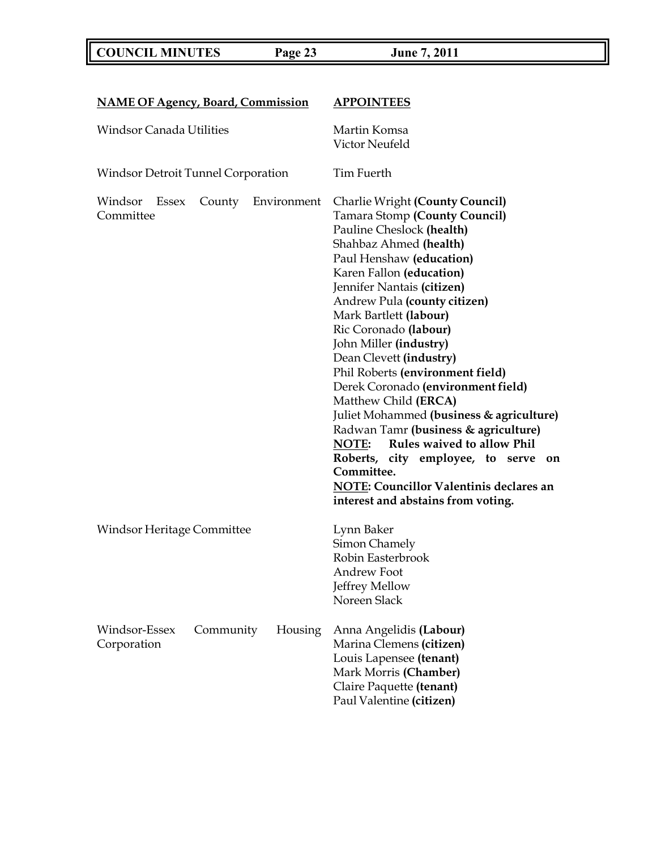**COUNCIL MINUTES Page 23 June 7, 2011**

| <b>NAME OF Agency, Board, Commission</b>                                     |           |             | <b>APPOINTEES</b>                                                                                                                                                                                                                                                                                                                                                                                                                                                                                                                                                                                                                                                                                                                         |  |
|------------------------------------------------------------------------------|-----------|-------------|-------------------------------------------------------------------------------------------------------------------------------------------------------------------------------------------------------------------------------------------------------------------------------------------------------------------------------------------------------------------------------------------------------------------------------------------------------------------------------------------------------------------------------------------------------------------------------------------------------------------------------------------------------------------------------------------------------------------------------------------|--|
| <b>Windsor Canada Utilities</b><br><b>Windsor Detroit Tunnel Corporation</b> |           |             | Martin Komsa<br>Victor Neufeld<br>Tim Fuerth                                                                                                                                                                                                                                                                                                                                                                                                                                                                                                                                                                                                                                                                                              |  |
|                                                                              |           |             |                                                                                                                                                                                                                                                                                                                                                                                                                                                                                                                                                                                                                                                                                                                                           |  |
| Windsor<br>Essex<br>Committee                                                | County    | Environment | <b>Charlie Wright (County Council)</b><br>Tamara Stomp (County Council)<br>Pauline Cheslock (health)<br>Shahbaz Ahmed (health)<br>Paul Henshaw (education)<br>Karen Fallon (education)<br>Jennifer Nantais (citizen)<br>Andrew Pula (county citizen)<br>Mark Bartlett (labour)<br>Ric Coronado (labour)<br>John Miller (industry)<br>Dean Clevett (industry)<br>Phil Roberts (environment field)<br>Derek Coronado (environment field)<br>Matthew Child (ERCA)<br>Juliet Mohammed (business & agriculture)<br>Radwan Tamr (business & agriculture)<br>Rules waived to allow Phil<br>NOTE:<br>Roberts, city employee, to serve<br>on<br>Committee.<br><b>NOTE: Councillor Valentinis declares an</b><br>interest and abstains from voting. |  |
| Windsor Heritage Committee                                                   |           |             | Lynn Baker<br>Simon Chamely<br>Robin Easterbrook<br>Andrew Foot<br>Jeffrey Mellow<br>Noreen Slack                                                                                                                                                                                                                                                                                                                                                                                                                                                                                                                                                                                                                                         |  |
| Windsor-Essex<br>Corporation                                                 | Community | Housing     | Anna Angelidis (Labour)<br>Marina Clemens (citizen)<br>Louis Lapensee (tenant)<br>Mark Morris (Chamber)<br>Claire Paquette (tenant)<br>Paul Valentine (citizen)                                                                                                                                                                                                                                                                                                                                                                                                                                                                                                                                                                           |  |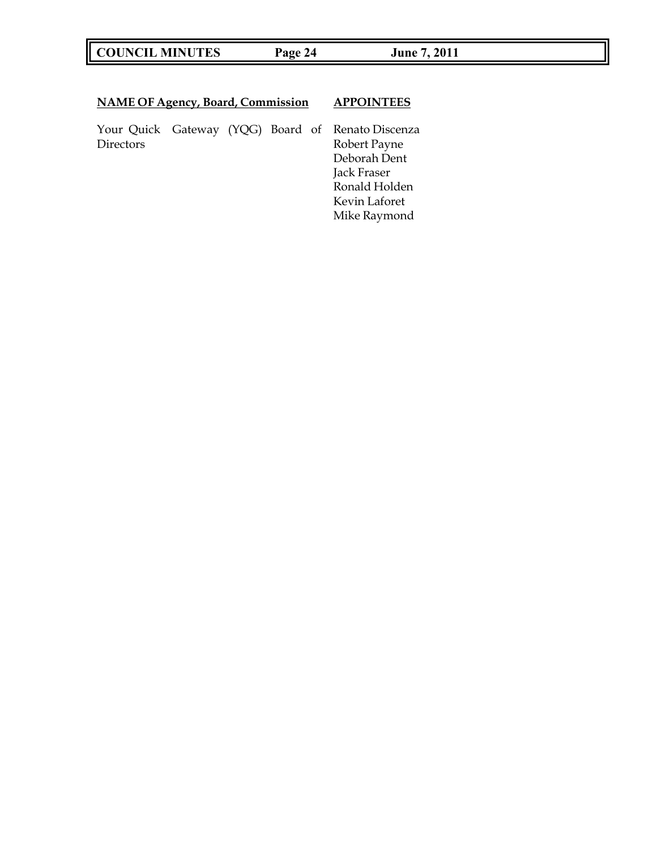# **COUNCIL MINUTES Page 24 June 7, 2011**

# **NAME OF Agency, Board, Commission APPOINTEES**

Your Quick Gateway (YQG) Board of Renato Discenza

Robert Payne Deborah Dent Jack Fraser Ronald Holden Kevin Laforet Mike Raymond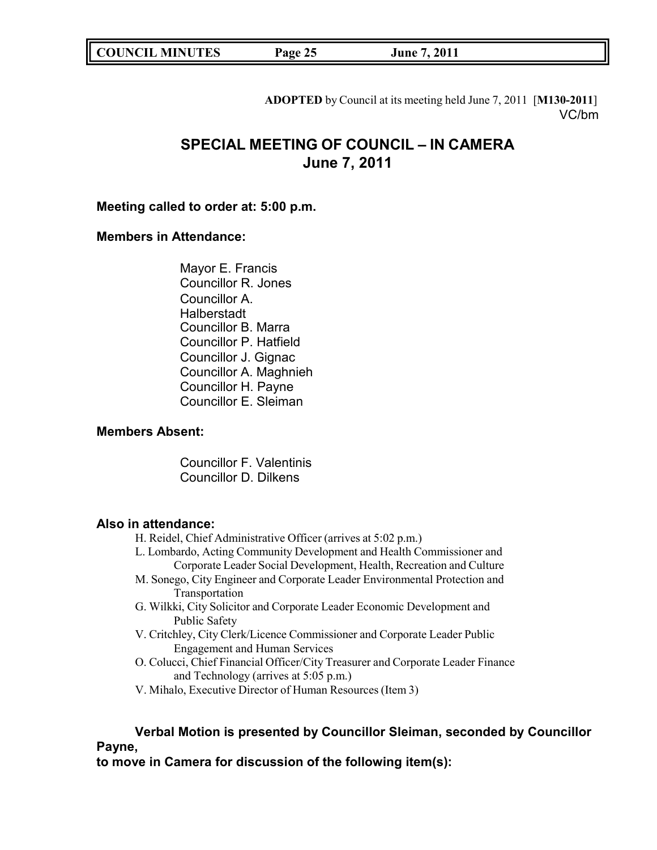| <b>COUNCIL MINUTES</b><br>Page 25 | June 7, 2011 |
|-----------------------------------|--------------|
|-----------------------------------|--------------|

**ADOPTED** by Council at its meeting held June 7, 2011 [**M130-2011**] VC/bm

# **SPECIAL MEETING OF COUNCIL – IN CAMERA June 7, 2011**

# **Meeting called to order at: 5:00 p.m.**

# **Members in Attendance:**

Mayor E. Francis Councillor R. Jones Councillor A. **Halberstadt** Councillor B. Marra Councillor P. Hatfield Councillor J. Gignac Councillor A. Maghnieh Councillor H. Payne Councillor E. Sleiman

# **Members Absent:**

Councillor F. Valentinis Councillor D. Dilkens

### **Also in attendance:**

- H. Reidel, Chief Administrative Officer (arrives at 5:02 p.m.)
- L. Lombardo, Acting Community Development and Health Commissioner and Corporate Leader Social Development, Health, Recreation and Culture
- M. Sonego, City Engineer and Corporate Leader Environmental Protection and Transportation
- G. Wilkki, City Solicitor and Corporate Leader Economic Development and Public Safety
- V. Critchley, City Clerk/Licence Commissioner and Corporate Leader Public Engagement and Human Services
- O. Colucci, Chief Financial Officer/City Treasurer and Corporate Leader Finance and Technology (arrives at 5:05 p.m.)
- V. Mihalo, Executive Director of Human Resources (Item 3)

# **Verbal Motion is presented by Councillor Sleiman, seconded by Councillor Payne,**

**to move in Camera for discussion of the following item(s):**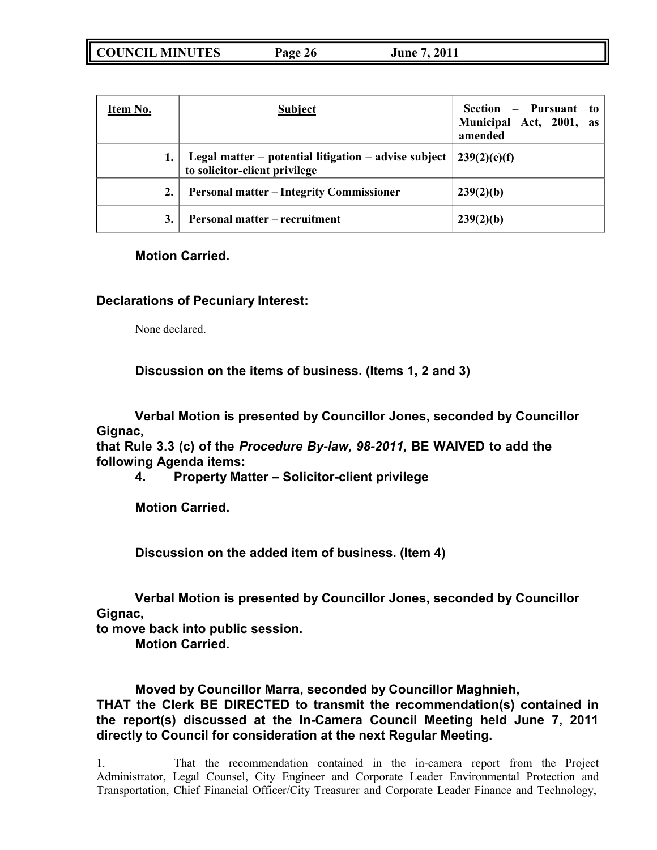| Item No.     | <b>Subject</b>                                                                          | - Pursuant to<br>Section<br>Municipal Act, 2001, as<br>amended |
|--------------|-----------------------------------------------------------------------------------------|----------------------------------------------------------------|
|              | Legal matter – potential litigation – advise subject  <br>to solicitor-client privilege | 1239(2)(e)(f)                                                  |
| 2.           | <b>Personal matter – Integrity Commissioner</b>                                         | 239(2)(b)                                                      |
| $\mathbf{3}$ | <b>Personal matter – recruitment</b>                                                    | 239(2)(b)                                                      |

# **Motion Carried.**

# **Declarations of Pecuniary Interest:**

None declared.

# **Discussion on the items of business. (Items 1, 2 and 3)**

**Verbal Motion is presented by Councillor Jones, seconded by Councillor Gignac,**

**that Rule 3.3 (c) of the** *Procedure By-law, 98-2011,* **BE WAIVED to add the following Agenda items:**

**4. Property Matter – Solicitor-client privilege**

**Motion Carried.**

**Discussion on the added item of business. (Item 4)**

**Verbal Motion is presented by Councillor Jones, seconded by Councillor Gignac,**

**to move back into public session.**

**Motion Carried.**

**Moved by Councillor Marra, seconded by Councillor Maghnieh, THAT the Clerk BE DIRECTED to transmit the recommendation(s) contained in the report(s) discussed at the In-Camera Council Meeting held June 7, 2011 directly to Council for consideration at the next Regular Meeting.**

1. That the recommendation contained in the in-camera report from the Project Administrator, Legal Counsel, City Engineer and Corporate Leader Environmental Protection and Transportation, Chief Financial Officer/City Treasurer and Corporate Leader Finance and Technology,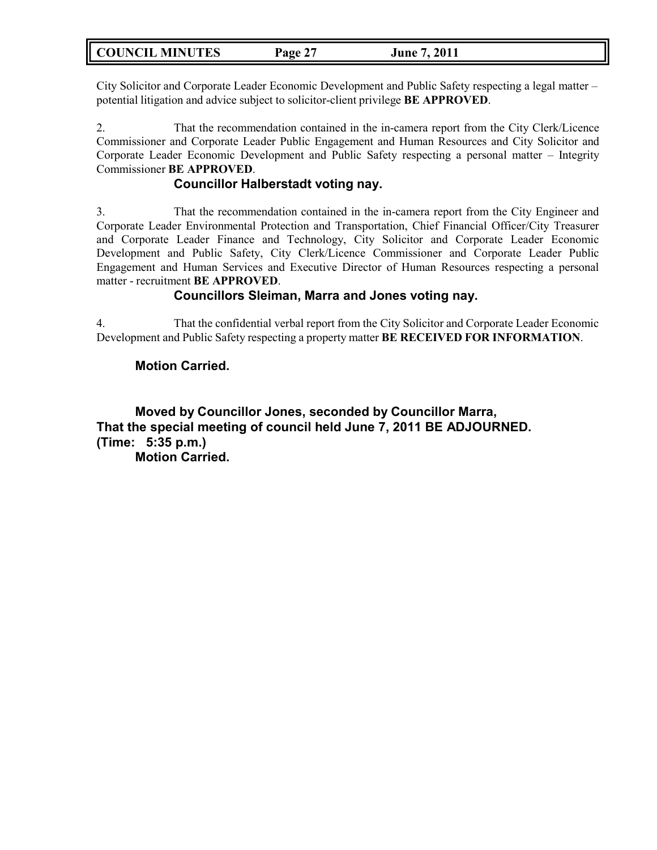| <b>COUNCIL MINUTES</b> | Page 27 | June 7, 2011 |  |
|------------------------|---------|--------------|--|
|------------------------|---------|--------------|--|

City Solicitor and Corporate Leader Economic Development and Public Safety respecting a legal matter – potential litigation and advice subject to solicitor-client privilege **BE APPROVED**.

2. That the recommendation contained in the in-camera report from the City Clerk/Licence Commissioner and Corporate Leader Public Engagement and Human Resources and City Solicitor and Corporate Leader Economic Development and Public Safety respecting a personal matter – Integrity Commissioner **BE APPROVED**.

# **Councillor Halberstadt voting nay.**

3. That the recommendation contained in the in-camera report from the City Engineer and Corporate Leader Environmental Protection and Transportation, Chief Financial Officer/City Treasurer and Corporate Leader Finance and Technology, City Solicitor and Corporate Leader Economic Development and Public Safety, City Clerk/Licence Commissioner and Corporate Leader Public Engagement and Human Services and Executive Director of Human Resources respecting a personal matter - recruitment **BE APPROVED**.

# **Councillors Sleiman, Marra and Jones voting nay.**

4. That the confidential verbal report from the City Solicitor and Corporate Leader Economic Development and Public Safety respecting a property matter **BE RECEIVED FOR INFORMATION**.

# **Motion Carried.**

**Moved by Councillor Jones, seconded by Councillor Marra, That the special meeting of council held June 7, 2011 BE ADJOURNED. (Time: 5:35 p.m.) Motion Carried.**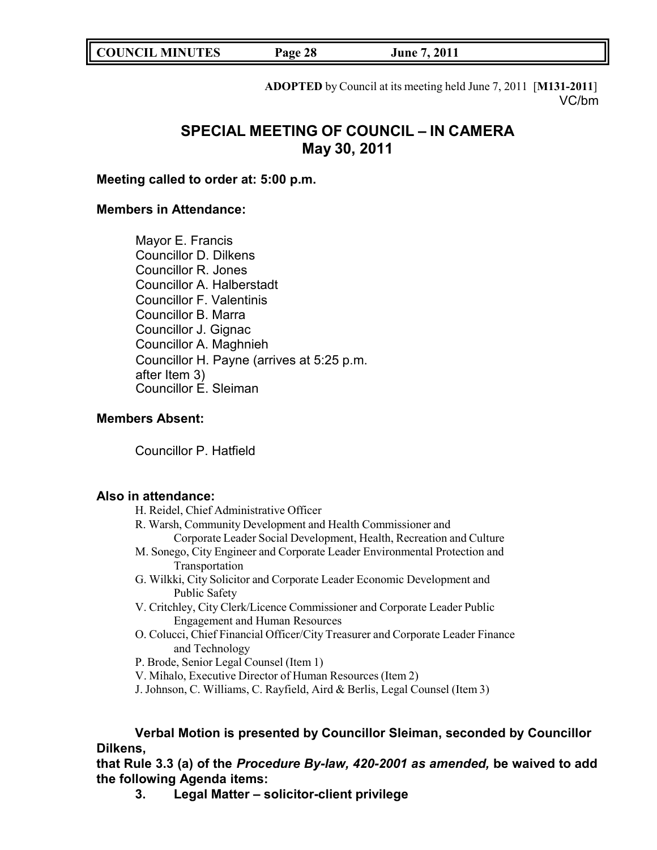**COUNCIL MINUTES Page 28 June 7, 2011**

**ADOPTED** by Council at its meeting held June 7, 2011 [**M131-2011**] VC/bm

# **SPECIAL MEETING OF COUNCIL – IN CAMERA May 30, 2011**

# **Meeting called to order at: 5:00 p.m.**

# **Members in Attendance:**

Mayor E. Francis Councillor D. Dilkens Councillor R. Jones Councillor A. Halberstadt Councillor F. Valentinis Councillor B. Marra Councillor J. Gignac Councillor A. Maghnieh Councillor H. Payne (arrives at 5:25 p.m. after Item 3) Councillor E. Sleiman

# **Members Absent:**

Councillor P. Hatfield

### **Also in attendance:**

- H. Reidel, Chief Administrative Officer
- R. Warsh, Community Development and Health Commissioner and Corporate Leader Social Development, Health, Recreation and Culture
- M. Sonego, City Engineer and Corporate Leader Environmental Protection and Transportation
- G. Wilkki, City Solicitor and Corporate Leader Economic Development and Public Safety
- V. Critchley, City Clerk/Licence Commissioner and Corporate Leader Public Engagement and Human Resources
- O. Colucci, Chief Financial Officer/City Treasurer and Corporate Leader Finance and Technology
- P. Brode, Senior Legal Counsel (Item 1)
- V. Mihalo, Executive Director of Human Resources (Item 2)
- J. Johnson, C. Williams, C. Rayfield, Aird & Berlis, Legal Counsel (Item 3)

# **Verbal Motion is presented by Councillor Sleiman, seconded by Councillor Dilkens,**

**that Rule 3.3 (a) of the** *Procedure By-law, 420-2001 as amended,* **be waived to add the following Agenda items:**

**3. Legal Matter – solicitor-client privilege**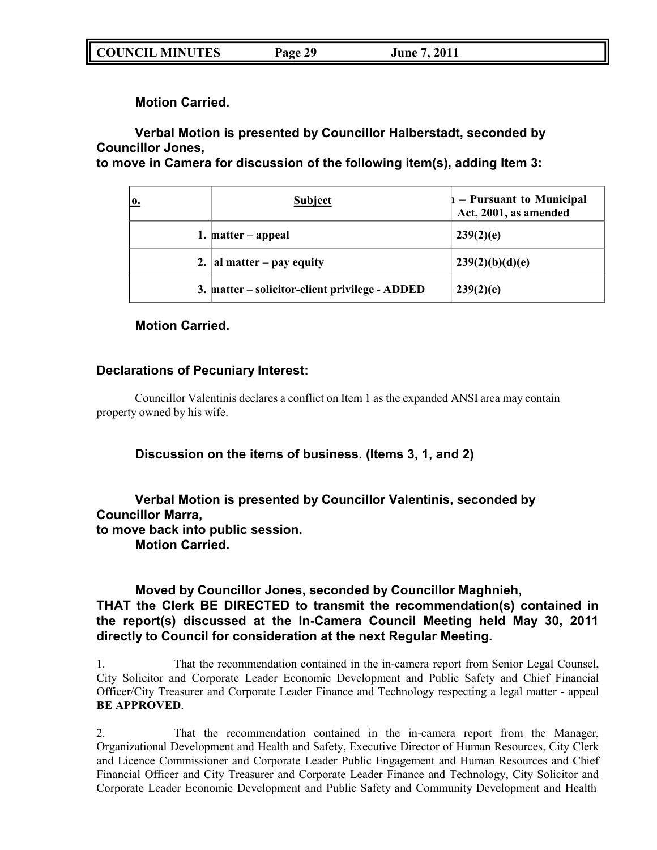| <b>COUNCIL MINUTES</b><br>Page 29 | June 7, 2011 |
|-----------------------------------|--------------|
|-----------------------------------|--------------|

**Motion Carried.**

**Verbal Motion is presented by Councillor Halberstadt, seconded by Councillor Jones,**

**to move in Camera for discussion of the following item(s), adding Item 3:**

| 0. | <b>Subject</b>                                 | $\mathbf{h}$ – Pursuant to Municipal<br>Act, 2001, as amended |
|----|------------------------------------------------|---------------------------------------------------------------|
|    | 1. matter $-$ appeal                           | 239(2)(e)                                                     |
|    | 2. al matter – pay equity                      | 239(2)(b)(d)(e)                                               |
|    | 3. matter – solicitor-client privilege - ADDED | 239(2)(e)                                                     |

**Motion Carried.**

# **Declarations of Pecuniary Interest:**

Councillor Valentinis declares a conflict on Item 1 as the expanded ANSI area may contain property owned by his wife.

**Discussion on the items of business. (Items 3, 1, and 2)**

**Verbal Motion is presented by Councillor Valentinis, seconded by Councillor Marra, to move back into public session. Motion Carried.**

# **Moved by Councillor Jones, seconded by Councillor Maghnieh, THAT the Clerk BE DIRECTED to transmit the recommendation(s) contained in the report(s) discussed at the In-Camera Council Meeting held May 30, 2011 directly to Council for consideration at the next Regular Meeting.**

1. That the recommendation contained in the in-camera report from Senior Legal Counsel, City Solicitor and Corporate Leader Economic Development and Public Safety and Chief Financial Officer/City Treasurer and Corporate Leader Finance and Technology respecting a legal matter - appeal **BE APPROVED**.

2. That the recommendation contained in the in-camera report from the Manager, Organizational Development and Health and Safety, Executive Director of Human Resources, City Clerk and Licence Commissioner and Corporate Leader Public Engagement and Human Resources and Chief Financial Officer and City Treasurer and Corporate Leader Finance and Technology, City Solicitor and Corporate Leader Economic Development and Public Safety and Community Development and Health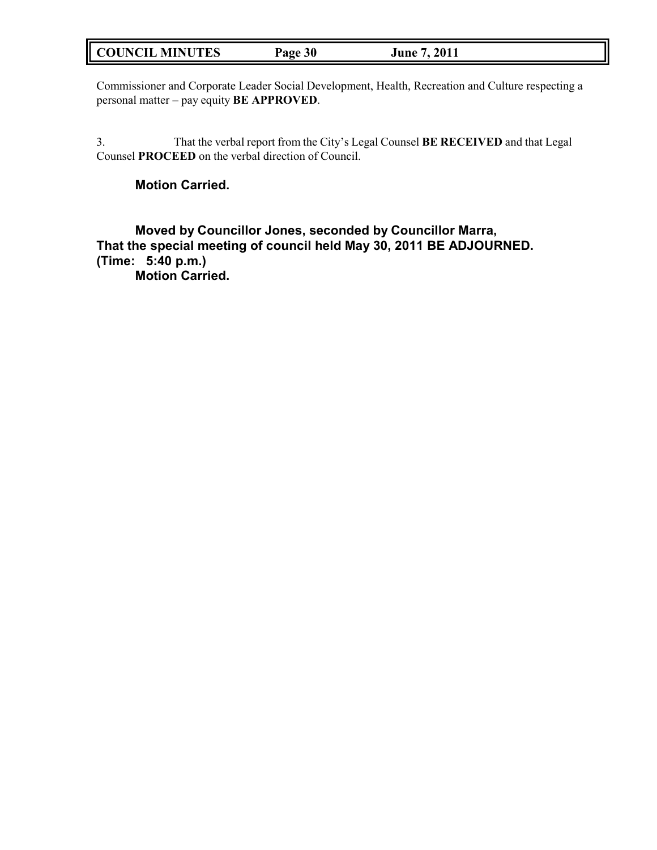# **COUNCIL MINUTES Page 30 June 7, 2011**

Commissioner and Corporate Leader Social Development, Health, Recreation and Culture respecting a personal matter – pay equity **BE APPROVED**.

3. That the verbal report from the City's Legal Counsel **BE RECEIVED** and that Legal Counsel **PROCEED** on the verbal direction of Council.

# **Motion Carried.**

**Moved by Councillor Jones, seconded by Councillor Marra, That the special meeting of council held May 30, 2011 BE ADJOURNED. (Time: 5:40 p.m.) Motion Carried.**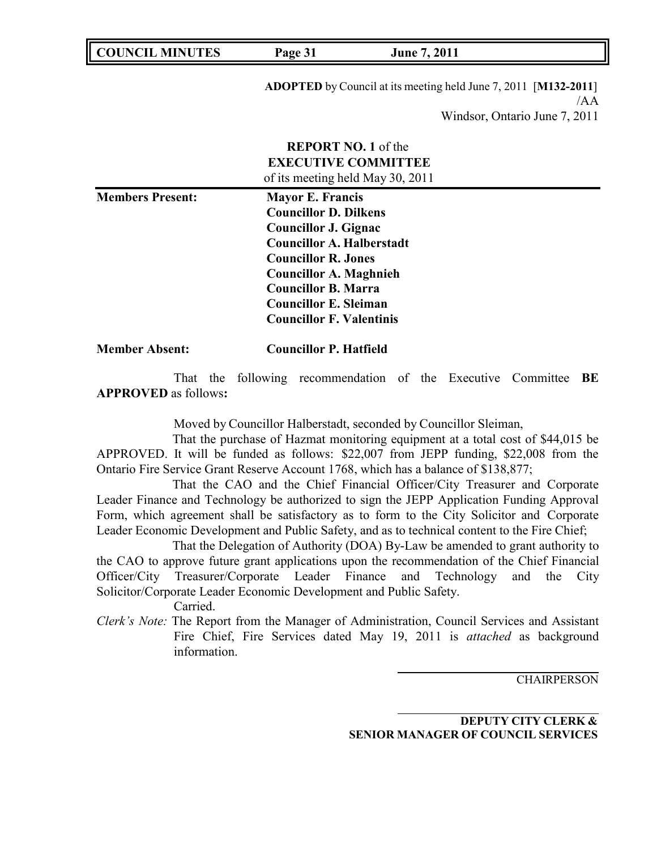| <b>COUNCIL MINUTES</b> | Page 31 | <b>June 7, 2011</b> |  |
|------------------------|---------|---------------------|--|
|------------------------|---------|---------------------|--|

**ADOPTED** by Council at its meeting held June 7, 2011 [**M132-2011**] /AA Windsor, Ontario June 7, 2011

|                         | <b>REPORT NO. 1</b> of the<br><b>EXECUTIVE COMMITTEE</b><br>of its meeting held May 30, 2011                                                                                                                                                                                        |  |
|-------------------------|-------------------------------------------------------------------------------------------------------------------------------------------------------------------------------------------------------------------------------------------------------------------------------------|--|
| <b>Members Present:</b> | <b>Mayor E. Francis</b><br><b>Councillor D. Dilkens</b><br>Councillor J. Gignac<br><b>Councillor A. Halberstadt</b><br><b>Councillor R. Jones</b><br><b>Councillor A. Maghnieh</b><br><b>Councillor B. Marra</b><br><b>Councillor E. Sleiman</b><br><b>Councillor F. Valentinis</b> |  |

### **Member Absent: Councillor P. Hatfield**

That the following recommendation of the Executive Committee **BE APPROVED** as follows**:**

Moved by Councillor Halberstadt, seconded by Councillor Sleiman,

That the purchase of Hazmat monitoring equipment at a total cost of \$44,015 be APPROVED. It will be funded as follows: \$22,007 from JEPP funding, \$22,008 from the Ontario Fire Service Grant Reserve Account 1768, which has a balance of \$138,877;

That the CAO and the Chief Financial Officer/City Treasurer and Corporate Leader Finance and Technology be authorized to sign the JEPP Application Funding Approval Form, which agreement shall be satisfactory as to form to the City Solicitor and Corporate Leader Economic Development and Public Safety, and as to technical content to the Fire Chief;

That the Delegation of Authority (DOA) By-Law be amended to grant authority to the CAO to approve future grant applications upon the recommendation of the Chief Financial Officer/City Treasurer/Corporate Leader Finance and Technology and the City Solicitor/Corporate Leader Economic Development and Public Safety.

Carried.

*Clerk's Note:* The Report from the Manager of Administration, Council Services and Assistant Fire Chief, Fire Services dated May 19, 2011 is *attached* as background information.

**CHAIRPERSON** 

**DEPUTY CITY CLERK & SENIOR MANAGER OF COUNCIL SERVICES**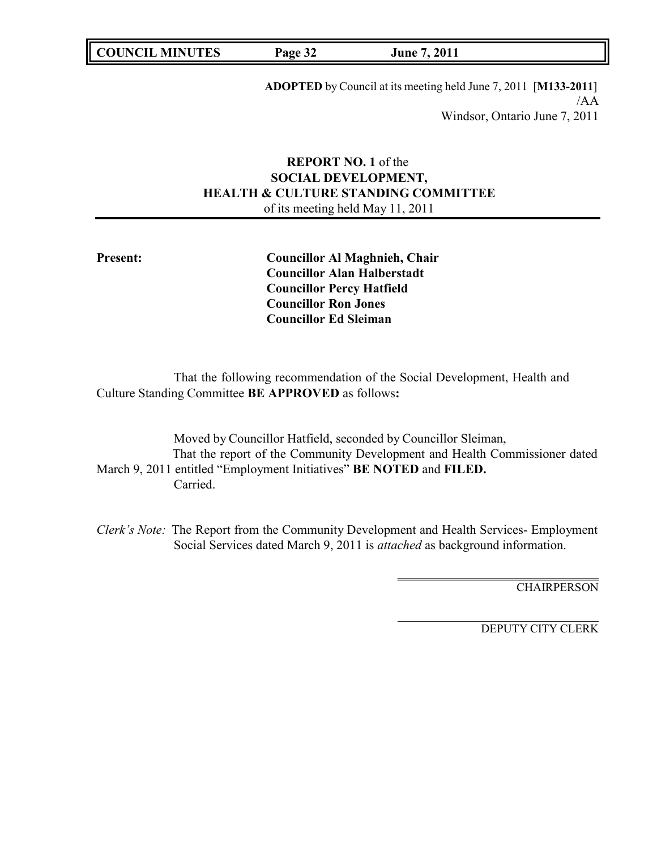**COUNCIL MINUTES Page 32 June 7, 2011**

**ADOPTED** by Council at its meeting held June 7, 2011 [**M133-2011**] /AA Windsor, Ontario June 7, 2011

# **REPORT NO. 1** of the **SOCIAL DEVELOPMENT, HEALTH & CULTURE STANDING COMMITTEE** of its meeting held May 11, 2011

**Present: Councillor Al Maghnieh, Chair Councillor Alan Halberstadt Councillor Percy Hatfield Councillor Ron Jones Councillor Ed Sleiman**

That the following recommendation of the Social Development, Health and Culture Standing Committee **BE APPROVED** as follows**:**

Moved by Councillor Hatfield, seconded by Councillor Sleiman, That the report of the Community Development and Health Commissioner dated March 9, 2011 entitled "Employment Initiatives" **BE NOTED** and **FILED.** Carried.

*Clerk's Note:* The Report from the Community Development and Health Services- Employment Social Services dated March 9, 2011 is *attached* as background information.

**CHAIRPERSON**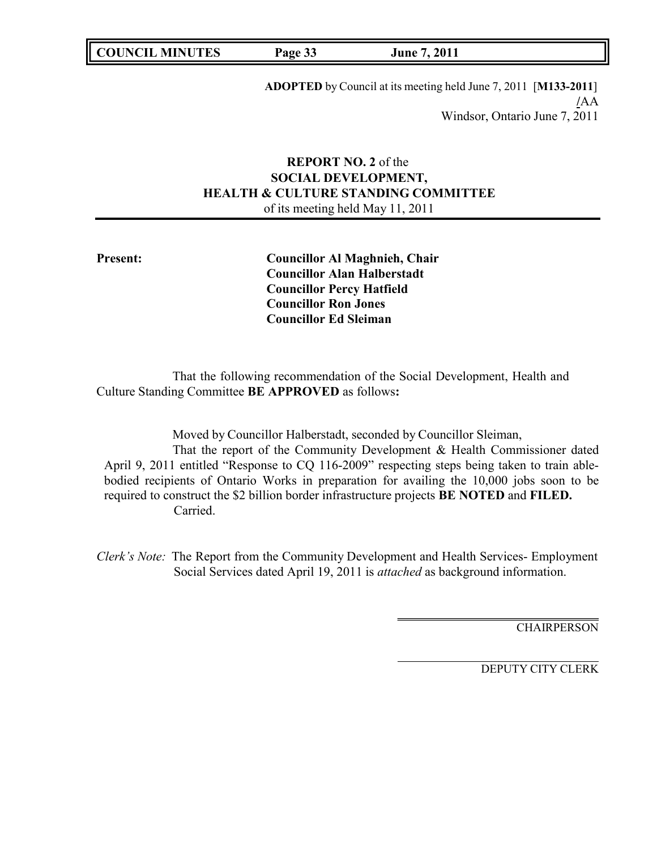**COUNCIL MINUTES Page 33 June 7, 2011**

**ADOPTED** by Council at its meeting held June 7, 2011 [**M133-2011**] **/**AA Windsor, Ontario June 7, 2011

# **REPORT NO. 2** of the **SOCIAL DEVELOPMENT, HEALTH & CULTURE STANDING COMMITTEE** of its meeting held May 11, 2011

**Present: Councillor Al Maghnieh, Chair Councillor Alan Halberstadt Councillor Percy Hatfield Councillor Ron Jones Councillor Ed Sleiman**

That the following recommendation of the Social Development, Health and Culture Standing Committee **BE APPROVED** as follows**:**

Moved by Councillor Halberstadt, seconded by Councillor Sleiman, That the report of the Community Development & Health Commissioner dated April 9, 2011 entitled "Response to CQ 116-2009" respecting steps being taken to train ablebodied recipients of Ontario Works in preparation for availing the 10,000 jobs soon to be required to construct the \$2 billion border infrastructure projects **BE NOTED** and **FILED.** Carried.

*Clerk's Note:* The Report from the Community Development and Health Services- Employment Social Services dated April 19, 2011 is *attached* as background information.

**CHAIRPERSON**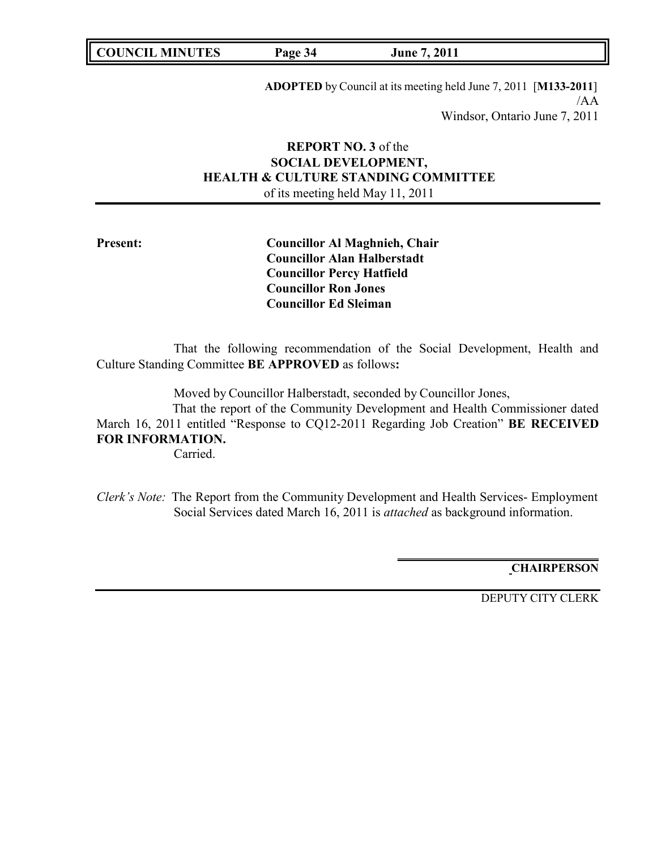**COUNCIL MINUTES Page 34 June 7, 2011**

**ADOPTED** by Council at its meeting held June 7, 2011 [**M133-2011**] /AA Windsor, Ontario June 7, 2011

# **REPORT NO. 3** of the **SOCIAL DEVELOPMENT, HEALTH & CULTURE STANDING COMMITTEE** of its meeting held May 11, 2011

**Present: Councillor Al Maghnieh, Chair Councillor Alan Halberstadt Councillor Percy Hatfield Councillor Ron Jones Councillor Ed Sleiman**

That the following recommendation of the Social Development, Health and Culture Standing Committee **BE APPROVED** as follows**:**

Moved by Councillor Halberstadt, seconded by Councillor Jones,

That the report of the Community Development and Health Commissioner dated March 16, 2011 entitled "Response to CQ12-2011 Regarding Job Creation" **BE RECEIVED FOR INFORMATION.**

Carried.

*Clerk's Note:* The Report from the Community Development and Health Services- Employment Social Services dated March 16, 2011 is *attached* as background information.

**CHAIRPERSON**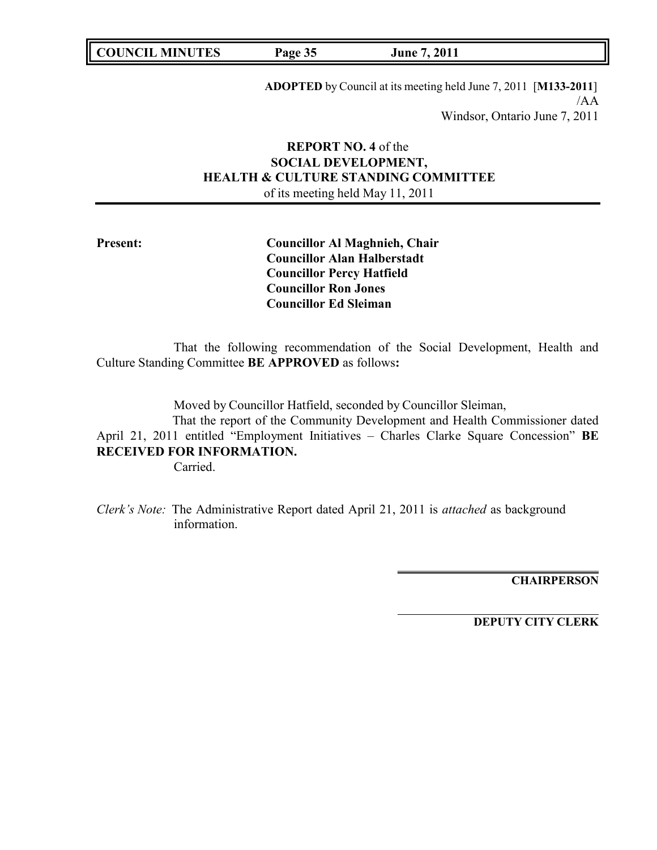**COUNCIL MINUTES Page 35 June 7, 2011**

**ADOPTED** by Council at its meeting held June 7, 2011 [**M133-2011**] /AA Windsor, Ontario June 7, 2011

# **REPORT NO. 4** of the **SOCIAL DEVELOPMENT, HEALTH & CULTURE STANDING COMMITTEE** of its meeting held May 11, 2011

**Present: Councillor Al Maghnieh, Chair Councillor Alan Halberstadt Councillor Percy Hatfield Councillor Ron Jones Councillor Ed Sleiman**

That the following recommendation of the Social Development, Health and Culture Standing Committee **BE APPROVED** as follows**:**

Moved by Councillor Hatfield, seconded by Councillor Sleiman,

That the report of the Community Development and Health Commissioner dated April 21, 2011 entitled "Employment Initiatives – Charles Clarke Square Concession" **BE RECEIVED FOR INFORMATION.**

Carried.

*Clerk's Note:* The Administrative Report dated April 21, 2011 is *attached* as background information.

**CHAIRPERSON**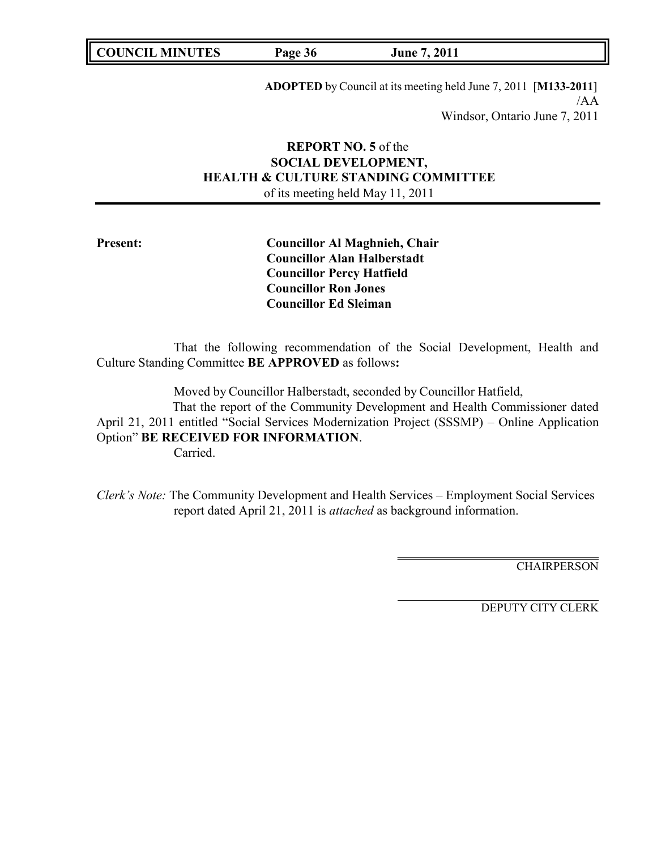**COUNCIL MINUTES Page 36 June 7, 2011**

**ADOPTED** by Council at its meeting held June 7, 2011 [**M133-2011**] /AA Windsor, Ontario June 7, 2011

# **REPORT NO. 5** of the **SOCIAL DEVELOPMENT, HEALTH & CULTURE STANDING COMMITTEE** of its meeting held May 11, 2011

**Present: Councillor Al Maghnieh, Chair Councillor Alan Halberstadt Councillor Percy Hatfield Councillor Ron Jones Councillor Ed Sleiman**

That the following recommendation of the Social Development, Health and Culture Standing Committee **BE APPROVED** as follows**:**

Moved by Councillor Halberstadt, seconded by Councillor Hatfield,

That the report of the Community Development and Health Commissioner dated April 21, 2011 entitled "Social Services Modernization Project (SSSMP) – Online Application Option" **BE RECEIVED FOR INFORMATION**. Carried.

*Clerk's Note:* The Community Development and Health Services – Employment Social Services report dated April 21, 2011 is *attached* as background information.

**CHAIRPERSON**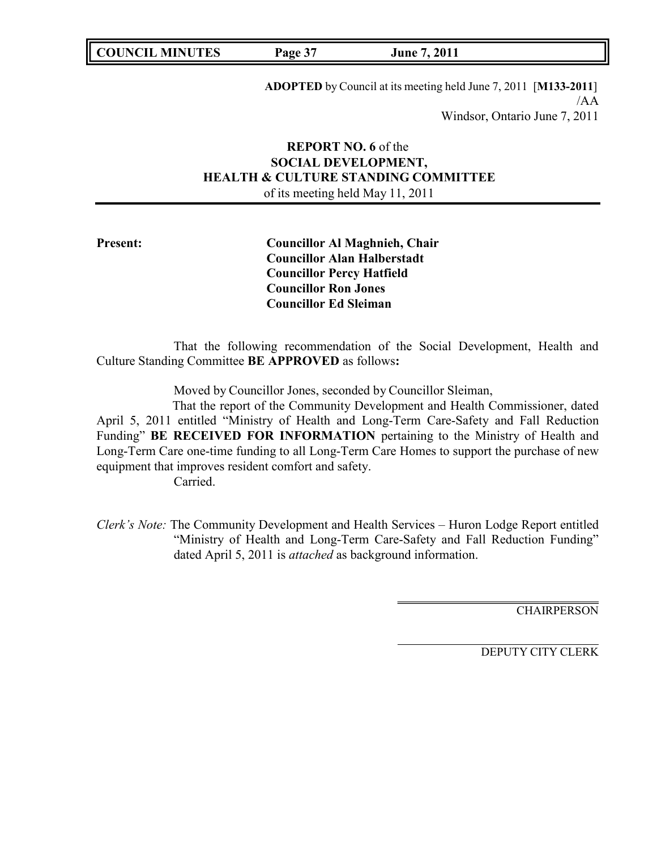**COUNCIL MINUTES Page 37 June 7, 2011**

**ADOPTED** by Council at its meeting held June 7, 2011 [**M133-2011**] /AA Windsor, Ontario June 7, 2011

# **REPORT NO. 6** of the **SOCIAL DEVELOPMENT, HEALTH & CULTURE STANDING COMMITTEE** of its meeting held May 11, 2011

**Present: Councillor Al Maghnieh, Chair Councillor Alan Halberstadt Councillor Percy Hatfield Councillor Ron Jones Councillor Ed Sleiman**

That the following recommendation of the Social Development, Health and Culture Standing Committee **BE APPROVED** as follows**:**

Moved by Councillor Jones, seconded by Councillor Sleiman,

That the report of the Community Development and Health Commissioner, dated April 5, 2011 entitled "Ministry of Health and Long-Term Care-Safety and Fall Reduction Funding" **BE RECEIVED FOR INFORMATION** pertaining to the Ministry of Health and Long-Term Care one-time funding to all Long-Term Care Homes to support the purchase of new equipment that improves resident comfort and safety.

Carried.

*Clerk's Note:* The Community Development and Health Services – Huron Lodge Report entitled "Ministry of Health and Long-Term Care-Safety and Fall Reduction Funding" dated April 5, 2011 is *attached* as background information.

**CHAIRPERSON**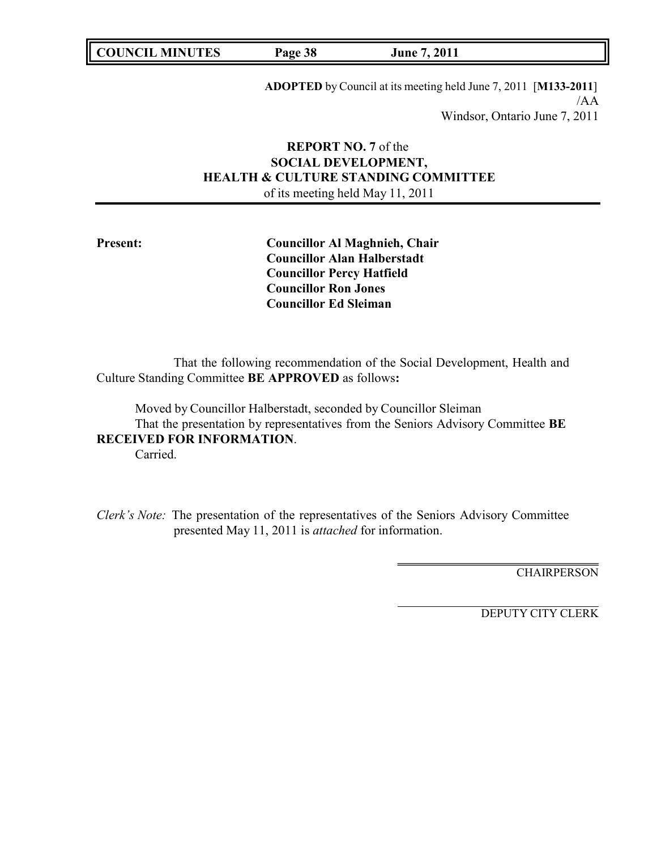**COUNCIL MINUTES Page 38 June 7, 2011**

**ADOPTED** by Council at its meeting held June 7, 2011 [**M133-2011**] /AA Windsor, Ontario June 7, 2011

# **REPORT NO. 7** of the **SOCIAL DEVELOPMENT, HEALTH & CULTURE STANDING COMMITTEE** of its meeting held May 11, 2011

**Present: Councillor Al Maghnieh, Chair Councillor Alan Halberstadt Councillor Percy Hatfield Councillor Ron Jones Councillor Ed Sleiman**

That the following recommendation of the Social Development, Health and Culture Standing Committee **BE APPROVED** as follows**:**

Moved by Councillor Halberstadt, seconded by Councillor Sleiman That the presentation by representatives from the Seniors Advisory Committee **BE RECEIVED FOR INFORMATION**. Carried.

*Clerk's Note:* The presentation of the representatives of the Seniors Advisory Committee presented May 11, 2011 is *attached* for information.

**CHAIRPERSON**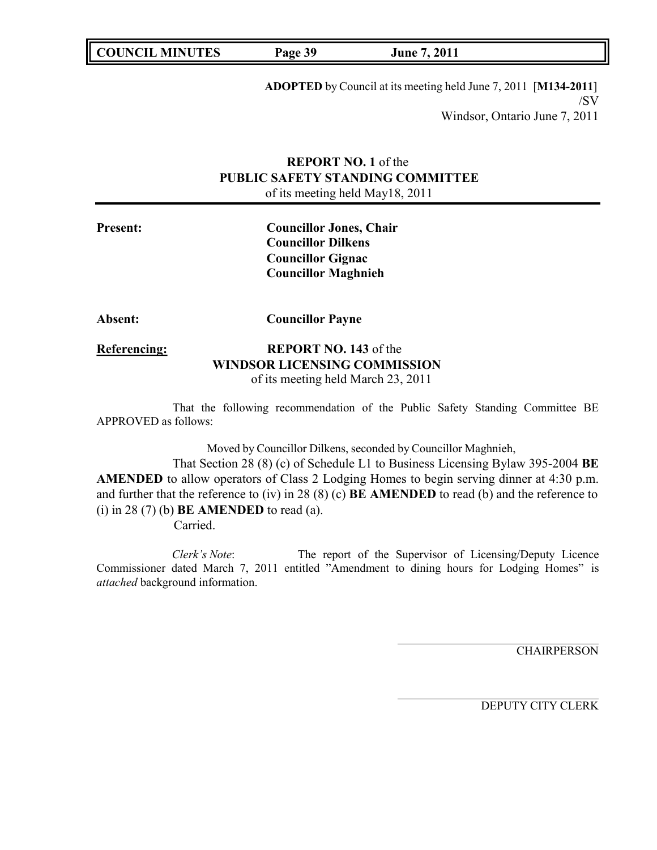**COUNCIL MINUTES Page 39 June 7, 2011**

**ADOPTED** by Council at its meeting held June 7, 2011 [**M134-2011**] /SV Windsor, Ontario June 7, 2011

# **REPORT NO. 1** of the **PUBLIC SAFETY STANDING COMMITTEE** of its meeting held May18, 2011

**Present: Councillor Jones, Chair Councillor Dilkens Councillor Gignac Councillor Maghnieh**

**Absent: Councillor Payne**

# **Referencing: REPORT NO. 143** of the **WINDSOR LICENSING COMMISSION** of its meeting held March 23, 2011

That the following recommendation of the Public Safety Standing Committee BE APPROVED as follows:

Moved by Councillor Dilkens, seconded by Councillor Maghnieh,

That Section 28 (8) (c) of Schedule L1 to Business Licensing Bylaw 395-2004 **BE AMENDED** to allow operators of Class 2 Lodging Homes to begin serving dinner at 4:30 p.m. and further that the reference to (iv) in 28 (8) (c) **BE AMENDED** to read (b) and the reference to (i) in 28 (7) (b) **BE AMENDED** to read (a).

Carried.

*Clerk's Note*: The report of the Supervisor of Licensing/Deputy Licence Commissioner dated March 7, 2011 entitled "Amendment to dining hours for Lodging Homes" is *attached* background information.

**CHAIRPERSON**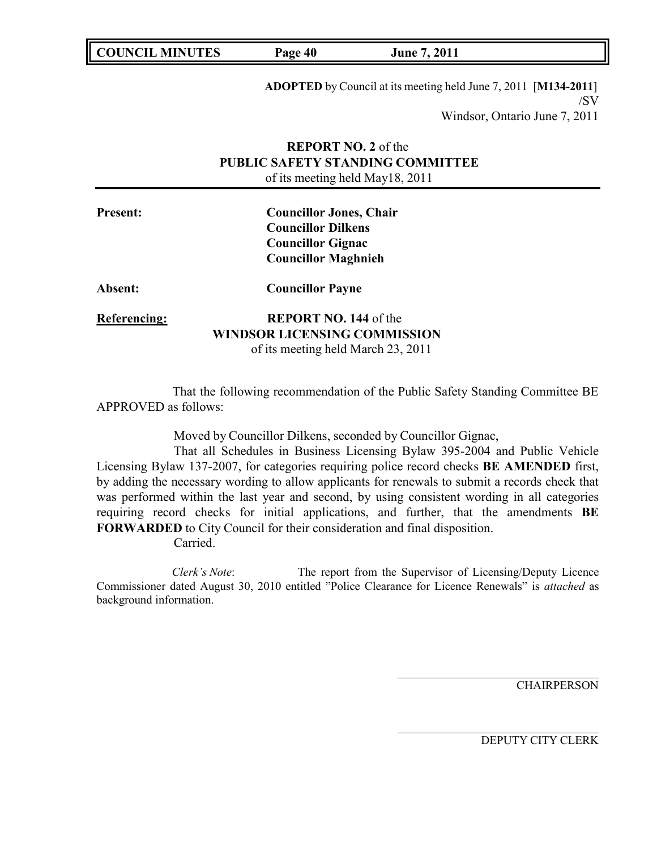**COUNCIL MINUTES Page 40 June 7, 2011**

**ADOPTED** by Council at its meeting held June 7, 2011 [**M134-2011**] /SV Windsor, Ontario June 7, 2011

# **REPORT NO. 2** of the **PUBLIC SAFETY STANDING COMMITTEE** of its meeting held May18, 2011

| <b>Present:</b> | <b>Councillor Jones, Chair</b><br><b>Councillor Dilkens</b> |  |
|-----------------|-------------------------------------------------------------|--|
|                 | <b>Councillor Gignac</b>                                    |  |
|                 | <b>Councillor Maghnieh</b>                                  |  |
| <b>Absent:</b>  | <b>Councillor Payne</b>                                     |  |
| Referencing:    | <b>REPORT NO. 144 of the</b>                                |  |
|                 | <b>WINDSOR LICENSING COMMISSION</b>                         |  |
|                 | of its meeting held March 23, 2011                          |  |

That the following recommendation of the Public Safety Standing Committee BE APPROVED as follows:

Moved by Councillor Dilkens, seconded by Councillor Gignac,

That all Schedules in Business Licensing Bylaw 395-2004 and Public Vehicle Licensing Bylaw 137-2007, for categories requiring police record checks **BE AMENDED** first, by adding the necessary wording to allow applicants for renewals to submit a records check that was performed within the last year and second, by using consistent wording in all categories requiring record checks for initial applications, and further, that the amendments **BE FORWARDED** to City Council for their consideration and final disposition.

Carried.

*Clerk's Note*: The report from the Supervisor of Licensing/Deputy Licence Commissioner dated August 30, 2010 entitled "Police Clearance for Licence Renewals" is *attached* as background information.

**CHAIRPERSON**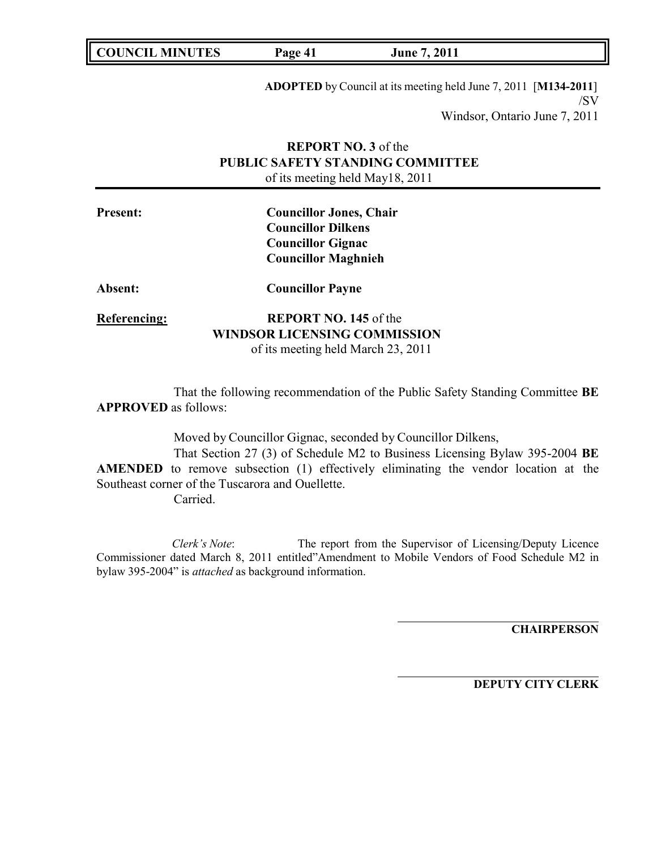**ADOPTED** by Council at its meeting held June 7, 2011 [**M134-2011**] /SV Windsor, Ontario June 7, 2011

# **REPORT NO. 3** of the **PUBLIC SAFETY STANDING COMMITTEE** of its meeting held May18, 2011

| <b>Present:</b>     | <b>Councillor Jones, Chair</b><br><b>Councillor Dilkens</b><br><b>Councillor Gignac</b><br><b>Councillor Maghnieh</b> |  |
|---------------------|-----------------------------------------------------------------------------------------------------------------------|--|
| <b>Absent:</b>      | <b>Councillor Payne</b>                                                                                               |  |
| <b>Referencing:</b> | <b>REPORT NO. 145 of the</b><br><b>WINDSOR LICENSING COMMISSION</b><br>of its meeting held March 23, 2011             |  |

That the following recommendation of the Public Safety Standing Committee **BE APPROVED** as follows:

Moved by Councillor Gignac, seconded by Councillor Dilkens,

That Section 27 (3) of Schedule M2 to Business Licensing Bylaw 395-2004 **BE AMENDED** to remove subsection (1) effectively eliminating the vendor location at the Southeast corner of the Tuscarora and Ouellette.

Carried.

*Clerk's Note*: The report from the Supervisor of Licensing/Deputy Licence Commissioner dated March 8, 2011 entitled"Amendment to Mobile Vendors of Food Schedule M2 in bylaw 395-2004" is *attached* as background information.

**CHAIRPERSON**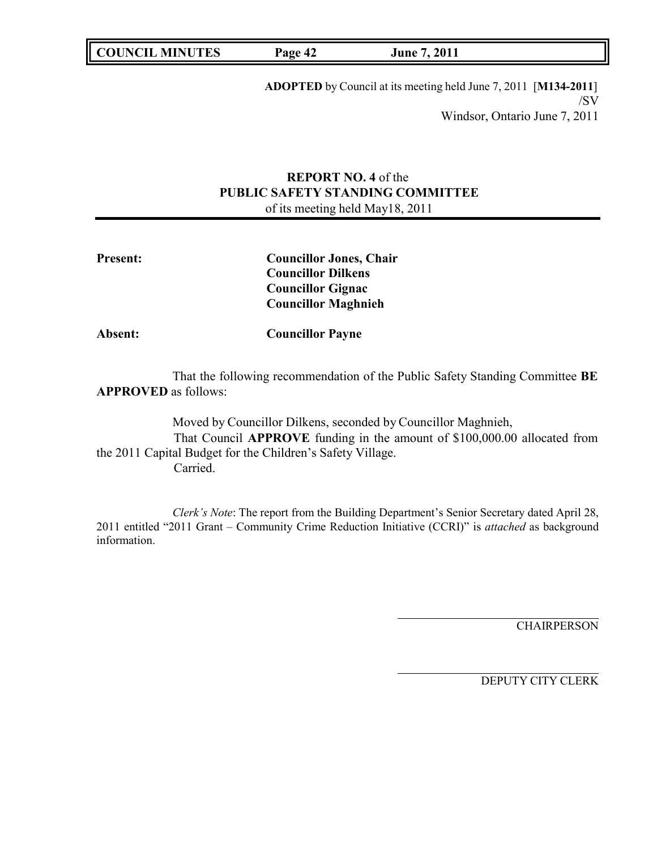**COUNCIL MINUTES Page 42 June 7, 2011**

**ADOPTED** by Council at its meeting held June 7, 2011 [**M134-2011**] /SV Windsor, Ontario June 7, 2011

# **REPORT NO. 4** of the **PUBLIC SAFETY STANDING COMMITTEE** of its meeting held May18, 2011

| <b>Present:</b> | <b>Councillor Jones, Chair</b> |
|-----------------|--------------------------------|
|                 | <b>Councillor Dilkens</b>      |
|                 | <b>Councillor Gignac</b>       |
|                 | <b>Councillor Maghnieh</b>     |
| <b>Absent:</b>  | <b>Councillor Payne</b>        |
|                 |                                |

That the following recommendation of the Public Safety Standing Committee **BE APPROVED** as follows:

Moved by Councillor Dilkens, seconded by Councillor Maghnieh, That Council **APPROVE** funding in the amount of \$100,000.00 allocated from the 2011 Capital Budget for the Children's Safety Village. Carried.

*Clerk's Note*: The report from the Building Department's Senior Secretary dated April 28, 2011 entitled "2011 Grant – Community Crime Reduction Initiative (CCRI)" is *attached* as background information.

**CHAIRPERSON**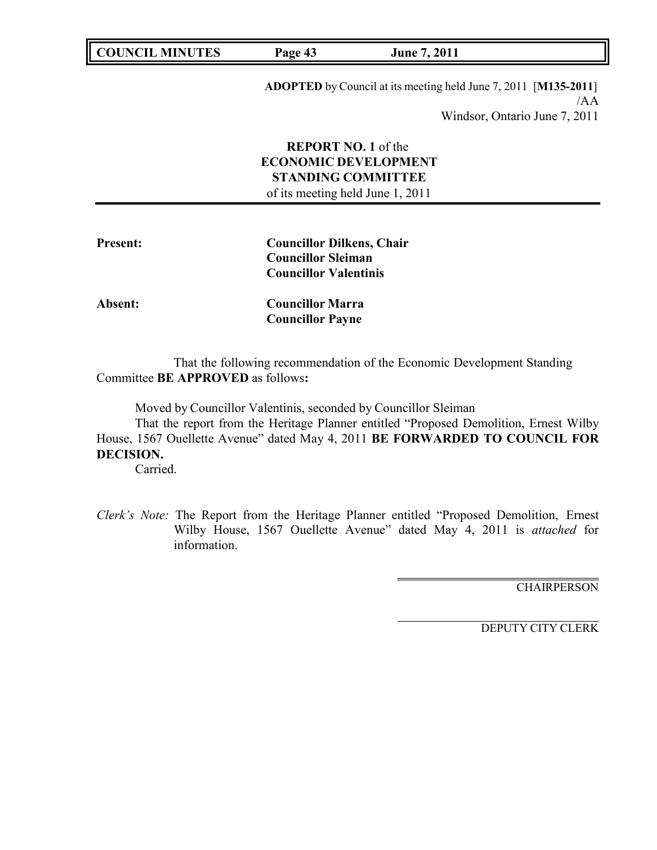**COUNCIL MINUTES Page 43 June 7, 2011**

**ADOPTED** by Council at its meeting held June 7, 2011 [**M135-2011**] /AA Windsor, Ontario June 7, 2011

**REPORT NO. 1** of the **ECONOMIC DEVELOPMENT STANDING COMMITTEE** of its meeting held June 1, 2011

| <b>Present:</b> | <b>Councillor Dilkens, Chair</b> |  |
|-----------------|----------------------------------|--|
|                 | <b>Councillor Sleiman</b>        |  |
|                 | <b>Councillor Valentinis</b>     |  |
| Absent:         | <b>Councillor Marra</b>          |  |
|                 | <b>Councillor Payne</b>          |  |

That the following recommendation of the Economic Development Standing Committee **BE APPROVED** as follows**:**

Moved by Councillor Valentinis, seconded by Councillor Sleiman

That the report from the Heritage Planner entitled "Proposed Demolition, Ernest Wilby House, 1567 Ouellette Avenue" dated May 4, 2011 **BE FORWARDED TO COUNCIL FOR DECISION.**

Carried.

*Clerk's Note:* The Report from the Heritage Planner entitled "Proposed Demolition, Ernest Wilby House, 1567 Ouellette Avenue" dated May 4, 2011 is *attached* for information.

**CHAIRPERSON**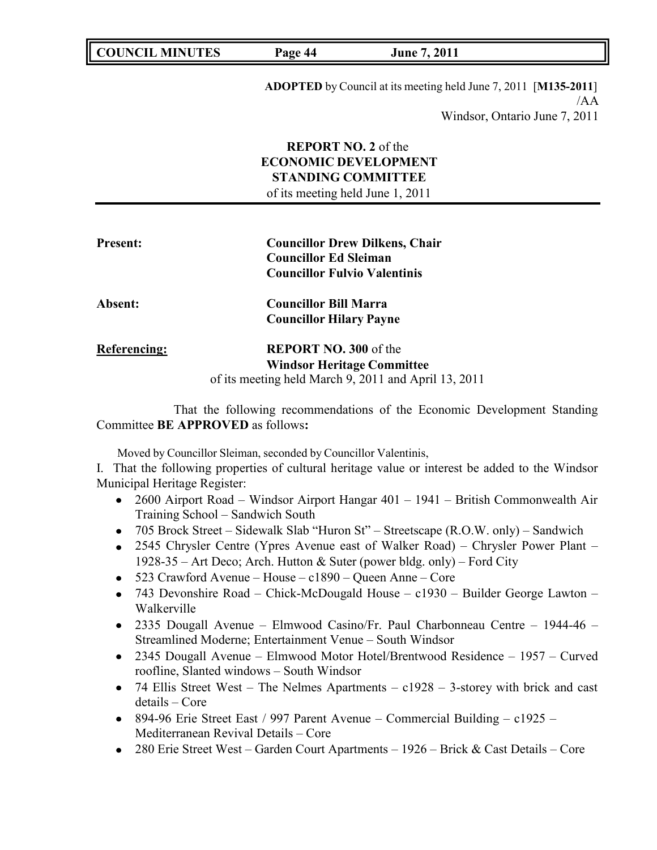| <b>COUNCIL</b><br><b>MINUTES</b> | Yage 44 | 2011<br>June |  |
|----------------------------------|---------|--------------|--|
|                                  |         |              |  |

**ADOPTED** by Council at its meeting held June 7, 2011 [**M135-2011**] /AA Windsor, Ontario June 7, 2011

| <b>REPORT NO. 2</b> of the       |
|----------------------------------|
| <b>ECONOMIC DEVELOPMENT</b>      |
| <b>STANDING COMMITTEE</b>        |
| of its meeting held June 1, 2011 |

| <b>Present:</b>     | <b>Councillor Drew Dilkens, Chair</b><br><b>Councillor Ed Sleiman</b><br><b>Councillor Fulvio Valentinis</b>              |
|---------------------|---------------------------------------------------------------------------------------------------------------------------|
| Absent:             | <b>Councillor Bill Marra</b><br><b>Councillor Hilary Payne</b>                                                            |
| <b>Referencing:</b> | <b>REPORT NO. 300 of the</b><br><b>Windsor Heritage Committee</b><br>of its meeting held March 9, 2011 and April 13, 2011 |

That the following recommendations of the Economic Development Standing Committee **BE APPROVED** as follows**:**

Moved by Councillor Sleiman, seconded by Councillor Valentinis,

I. That the following properties of cultural heritage value or interest be added to the Windsor Municipal Heritage Register:

- 2600 Airport Road Windsor Airport Hangar 401 1941 British Commonwealth Air Training School – Sandwich South
- 705 Brock Street Sidewalk Slab "Huron St" Streetscape (R.O.W. only) Sandwich
- 2545 Chrysler Centre (Ypres Avenue east of Walker Road) Chrysler Power Plant 1928-35 – Art Deco; Arch. Hutton & Suter (power bldg. only) – Ford City
- 523 Crawford Avenue House c1890 Queen Anne Core
- 743 Devonshire Road Chick-McDougald House c1930 Builder George Lawton Walkerville
- 2335 Dougall Avenue Elmwood Casino/Fr. Paul Charbonneau Centre 1944-46 Streamlined Moderne; Entertainment Venue – South Windsor
- 2345 Dougall Avenue Elmwood Motor Hotel/Brentwood Residence 1957 Curved roofline, Slanted windows – South Windsor
- 74 Ellis Street West The Nelmes Apartments  $c1928 3$ -storey with brick and cast details – Core
- 894-96 Erie Street East / 997 Parent Avenue Commercial Building c1925 Mediterranean Revival Details – Core
- 280 Erie Street West Garden Court Apartments 1926 Brick & Cast Details Core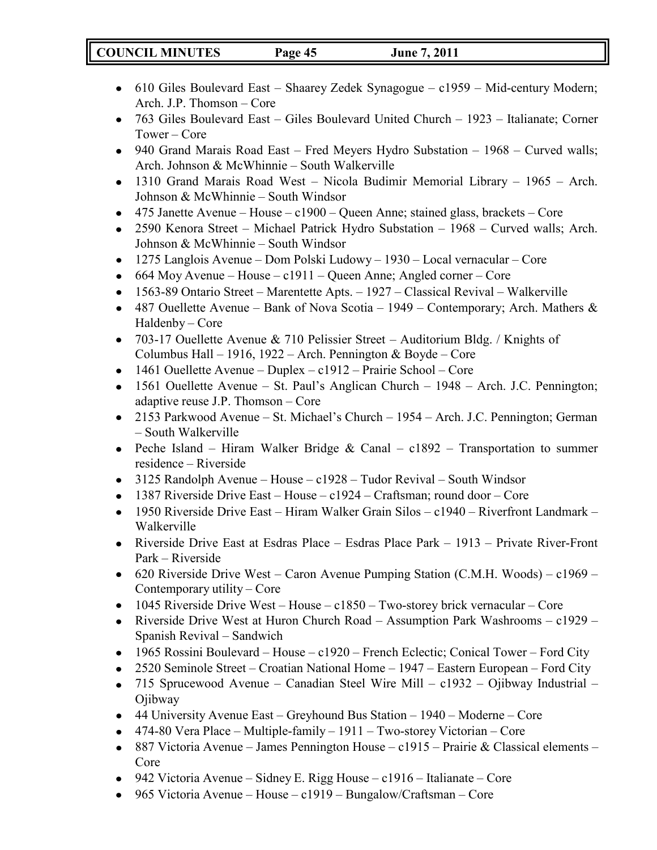# **COUNCIL MINUTES Page 45 June 7, 2011**

- 610 Giles Boulevard East Shaarey Zedek Synagogue c1959 Mid-century Modern; Arch. J.P. Thomson – Core
- 763 Giles Boulevard East Giles Boulevard United Church 1923 Italianate; Corner Tower – Core
- 940 Grand Marais Road East Fred Meyers Hydro Substation 1968 Curved walls; Arch. Johnson & McWhinnie – South Walkerville
- 1310 Grand Marais Road West Nicola Budimir Memorial Library 1965 Arch. Johnson & McWhinnie – South Windsor
- $\bullet$  475 Janette Avenue House c1900 Queen Anne; stained glass, brackets Core
- 2590 Kenora Street Michael Patrick Hydro Substation 1968 Curved walls; Arch. Johnson & McWhinnie – South Windsor
- 1275 Langlois Avenue Dom Polski Ludowy 1930 Local vernacular Core
- $\bullet$  664 Moy Avenue House c1911 Queen Anne; Angled corner Core
- 1563-89 Ontario Street Marentette Apts. 1927 Classical Revival Walkerville
- 487 Ouellette Avenue Bank of Nova Scotia 1949 Contemporary; Arch. Mathers  $\&$ Haldenby – Core
- 703-17 Ouellette Avenue & 710 Pelissier Street Auditorium Bldg. / Knights of Columbus Hall – 1916, 1922 – Arch. Pennington & Boyde – Core
- $\bullet$  1461 Ouellette Avenue Duplex c1912 Prairie School Core
- $\bullet$  1561 Ouellette Avenue St. Paul's Anglican Church 1948 Arch. J.C. Pennington; adaptive reuse J.P. Thomson – Core
- 2153 Parkwood Avenue St. Michael's Church 1954 Arch. J.C. Pennington; German – South Walkerville
- Peche Island Hiram Walker Bridge & Canal c1892 Transportation to summer residence – Riverside
- 3125 Randolph Avenue House c1928 Tudor Revival South Windsor
- $\bullet$  1387 Riverside Drive East House c1924 Craftsman; round door Core
- 1950 Riverside Drive East Hiram Walker Grain Silos c1940 Riverfront Landmark Walkerville
- Riverside Drive East at Esdras Place Esdras Place Park 1913 Private River-Front Park – Riverside
- 620 Riverside Drive West Caron Avenue Pumping Station (C.M.H. Woods) c1969 Contemporary utility – Core
- $\bullet$  1045 Riverside Drive West House c1850 Two-storey brick vernacular Core
- Riverside Drive West at Huron Church Road Assumption Park Washrooms c1929 Spanish Revival – Sandwich
- 1965 Rossini Boulevard House c1920 French Eclectic; Conical Tower Ford City
- 2520 Seminole Street Croatian National Home 1947 Eastern European Ford City
- 715 Sprucewood Avenue Canadian Steel Wire Mill c1932 Ojibway Industrial Ojibway
- 44 University Avenue East Greyhound Bus Station 1940 Moderne Core
- 474-80 Vera Place Multiple-family 1911 Two-storey Victorian Core
- 887 Victoria Avenue James Pennington House c1915 Prairie & Classical elements Core
- 942 Victoria Avenue Sidney E. Rigg House c1916 Italianate Core
- 965 Victoria Avenue House c1919 Bungalow/Craftsman Core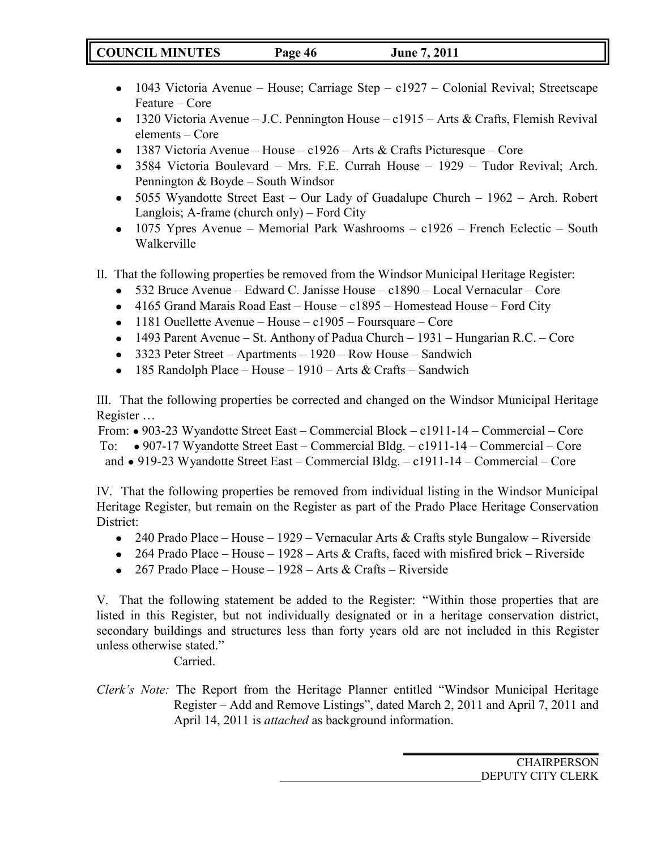- 1043 Victoria Avenue House; Carriage Step c1927 Colonial Revival; Streetscape Feature – Core
- 1320 Victoria Avenue J.C. Pennington House c1915 Arts & Crafts, Flemish Revival elements – Core
- 1387 Victoria Avenue House c1926 Arts & Crafts Picturesque Core
- 3584 Victoria Boulevard Mrs. F.E. Currah House 1929 Tudor Revival; Arch. Pennington & Boyde – South Windsor
- 5055 Wyandotte Street East Our Lady of Guadalupe Church 1962 Arch. Robert Langlois; A-frame (church only) – Ford City
- 1075 Ypres Avenue Memorial Park Washrooms c1926 French Eclectic South Walkerville
- II. That the following properties be removed from the Windsor Municipal Heritage Register:
	- 532 Bruce Avenue Edward C. Janisse House c1890 Local Vernacular Core
	- 4165 Grand Marais Road East House c1895 Homestead House Ford City
	- 1181 Ouellette Avenue House  $c1905$  Foursquare Core
	- 1493 Parent Avenue St. Anthony of Padua Church 1931 Hungarian R.C. Core
	- 3323 Peter Street Apartments 1920 Row House Sandwich
	- 185 Randolph Place House 1910 Arts & Crafts Sandwich

III. That the following properties be corrected and changed on the Windsor Municipal Heritage Register …

From: ● 903-23 Wyandotte Street East – Commercial Block – c1911-14 – Commercial – Core To: ● 907-17 Wyandotte Street East – Commercial Bldg. – c1911-14 – Commercial – Core and ● 919-23 Wyandotte Street East – Commercial Bldg. – c1911-14 – Commercial – Core

IV. That the following properties be removed from individual listing in the Windsor Municipal Heritage Register, but remain on the Register as part of the Prado Place Heritage Conservation District:

- 240 Prado Place House 1929 Vernacular Arts & Crafts style Bungalow Riverside
- 264 Prado Place House 1928 Arts & Crafts, faced with misfired brick Riverside
- 267 Prado Place House 1928 Arts & Crafts Riverside

V. That the following statement be added to the Register: "Within those properties that are listed in this Register, but not individually designated or in a heritage conservation district, secondary buildings and structures less than forty years old are not included in this Register unless otherwise stated."

Carried.

*Clerk's Note:* The Report from the Heritage Planner entitled "Windsor Municipal Heritage Register – Add and Remove Listings", dated March 2, 2011 and April 7, 2011 and April 14, 2011 is *attached* as background information.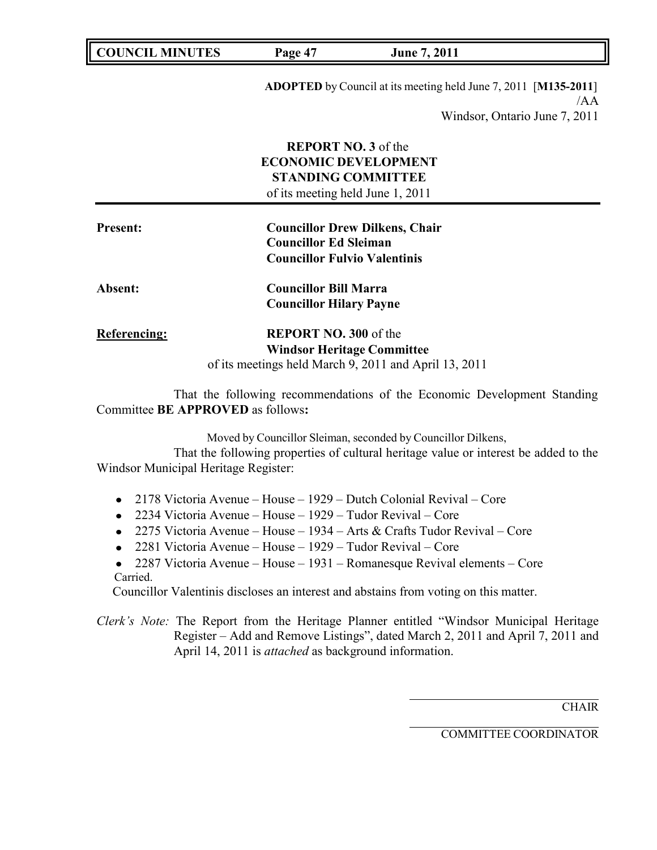|  | <b>COUNCIL</b><br><b>MINUTES</b> | Page 47 | 2011<br>June |
|--|----------------------------------|---------|--------------|
|--|----------------------------------|---------|--------------|

**ADOPTED** by Council at its meeting held June 7, 2011 [**M135-2011**] /AA Windsor, Ontario June 7, 2011

|                     | <b>REPORT NO. 3 of the</b><br><b>ECONOMIC DEVELOPMENT</b><br><b>STANDING COMMITTEE</b><br>of its meeting held June 1, 2011 |  |
|---------------------|----------------------------------------------------------------------------------------------------------------------------|--|
| <b>Present:</b>     | <b>Councillor Drew Dilkens, Chair</b>                                                                                      |  |
|                     | <b>Councillor Ed Sleiman</b>                                                                                               |  |
|                     | <b>Councillor Fulvio Valentinis</b>                                                                                        |  |
| <b>Absent:</b>      | <b>Councillor Bill Marra</b>                                                                                               |  |
|                     | <b>Councillor Hilary Payne</b>                                                                                             |  |
| <b>Referencing:</b> | <b>REPORT NO. 300 of the</b>                                                                                               |  |
|                     | <b>Windsor Heritage Committee</b>                                                                                          |  |
|                     | of its meetings held March 9, 2011 and April 13, 2011                                                                      |  |

That the following recommendations of the Economic Development Standing Committee **BE APPROVED** as follows**:**

Moved by Councillor Sleiman, seconded by Councillor Dilkens,

That the following properties of cultural heritage value or interest be added to the Windsor Municipal Heritage Register:

- 2178 Victoria Avenue House 1929 Dutch Colonial Revival Core
- 2234 Victoria Avenue House 1929 Tudor Revival Core
- 2275 Victoria Avenue House 1934 Arts & Crafts Tudor Revival Core
- 2281 Victoria Avenue House 1929 Tudor Revival Core
- 2287 Victoria Avenue House 1931 Romanesque Revival elements Core Carried.

Councillor Valentinis discloses an interest and abstains from voting on this matter.

*Clerk's Note:* The Report from the Heritage Planner entitled "Windsor Municipal Heritage Register – Add and Remove Listings", dated March 2, 2011 and April 7, 2011 and April 14, 2011 is *attached* as background information.

**CHAIR** 

COMMITTEE COORDINATOR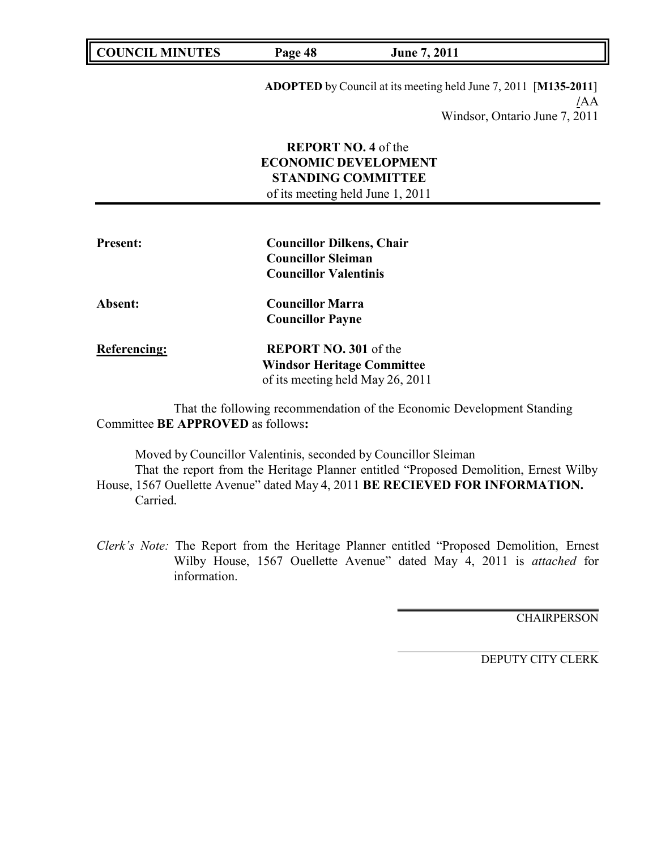| <b>COUNCIL MINUTES</b> | Page 48                                                       | June 7, 2011                                                           |
|------------------------|---------------------------------------------------------------|------------------------------------------------------------------------|
|                        |                                                               | <b>ADOPTED</b> by Council at its meeting held June 7, 2011 [M135-2011] |
|                        |                                                               | /AA                                                                    |
|                        |                                                               | Windsor, Ontario June 7, 2011                                          |
|                        | <b>REPORT NO. 4 of the</b>                                    |                                                                        |
|                        | <b>ECONOMIC DEVELOPMENT</b>                                   |                                                                        |
|                        | <b>STANDING COMMITTEE</b>                                     |                                                                        |
|                        | of its meeting held June 1, 2011                              |                                                                        |
| <b>Present:</b>        | <b>Councillor Dilkens, Chair</b><br><b>Councillor Sleiman</b> |                                                                        |
|                        | <b>Councillor Valentinis</b>                                  |                                                                        |
| Absent:                | <b>Councillor Marra</b>                                       |                                                                        |
|                        | <b>Councillor Payne</b>                                       |                                                                        |
|                        |                                                               |                                                                        |
| <b>Referencing:</b>    | <b>REPORT NO. 301 of the</b>                                  |                                                                        |
|                        | <b>Windsor Heritage Committee</b>                             |                                                                        |

That the following recommendation of the Economic Development Standing Committee **BE APPROVED** as follows**:**

Moved by Councillor Valentinis, seconded by Councillor Sleiman That the report from the Heritage Planner entitled "Proposed Demolition, Ernest Wilby House, 1567 Ouellette Avenue" dated May 4, 2011 **BE RECIEVED FOR INFORMATION.** Carried.

*Clerk's Note:* The Report from the Heritage Planner entitled "Proposed Demolition, Ernest Wilby House, 1567 Ouellette Avenue" dated May 4, 2011 is *attached* for information.

**CHAIRPERSON**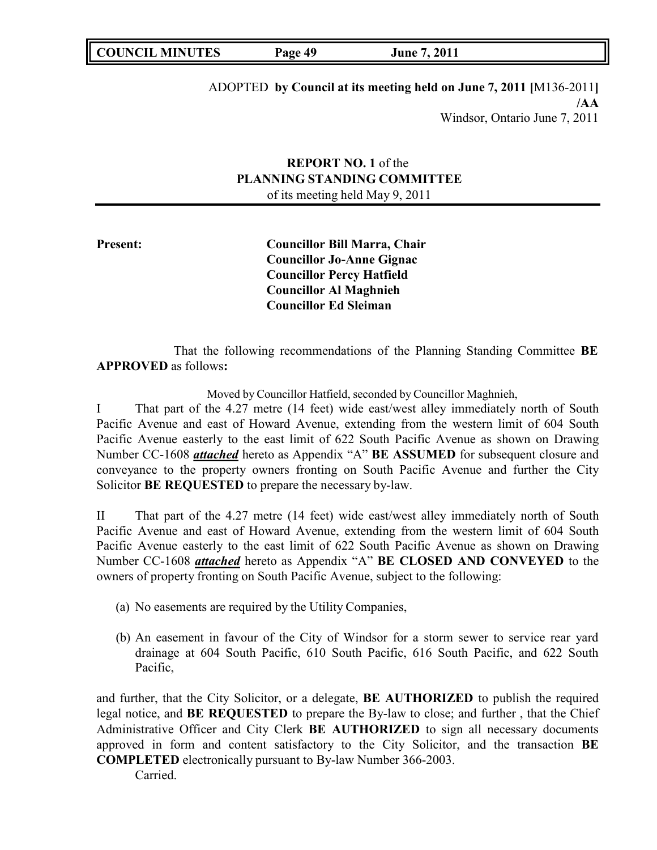| <b>COUNCIL MINUTES</b> | Page 49 | June 7, 2011 |  |
|------------------------|---------|--------------|--|
|------------------------|---------|--------------|--|

ADOPTED **by Council at its meeting held on June 7, 2011 [**M136-2011**] /AA** Windsor, Ontario June 7, 2011

# **REPORT NO. 1** of the **PLANNING STANDING COMMITTEE** of its meeting held May 9, 2011

**Present: Councillor Bill Marra, Chair Councillor Jo-Anne Gignac Councillor Percy Hatfield Councillor Al Maghnieh Councillor Ed Sleiman**

That the following recommendations of the Planning Standing Committee **BE APPROVED** as follows**:**

Moved by Councillor Hatfield, seconded by Councillor Maghnieh,

I That part of the 4.27 metre (14 feet) wide east/west alley immediately north of South Pacific Avenue and east of Howard Avenue, extending from the western limit of 604 South Pacific Avenue easterly to the east limit of 622 South Pacific Avenue as shown on Drawing Number CC-1608 *attached* hereto as Appendix "A" **BE ASSUMED** for subsequent closure and conveyance to the property owners fronting on South Pacific Avenue and further the City Solicitor **BE REQUESTED** to prepare the necessary by-law.

II That part of the 4.27 metre (14 feet) wide east/west alley immediately north of South Pacific Avenue and east of Howard Avenue, extending from the western limit of 604 South Pacific Avenue easterly to the east limit of 622 South Pacific Avenue as shown on Drawing Number CC-1608 *attached* hereto as Appendix "A" **BE CLOSED AND CONVEYED** to the owners of property fronting on South Pacific Avenue, subject to the following:

(a) No easements are required by the Utility Companies,

(b) An easement in favour of the City of Windsor for a storm sewer to service rear yard drainage at 604 South Pacific, 610 South Pacific, 616 South Pacific, and 622 South Pacific,

and further, that the City Solicitor, or a delegate, **BE AUTHORIZED** to publish the required legal notice, and **BE REQUESTED** to prepare the By-law to close; and further , that the Chief Administrative Officer and City Clerk **BE AUTHORIZED** to sign all necessary documents approved in form and content satisfactory to the City Solicitor, and the transaction **BE COMPLETED** electronically pursuant to By-law Number 366-2003.

Carried.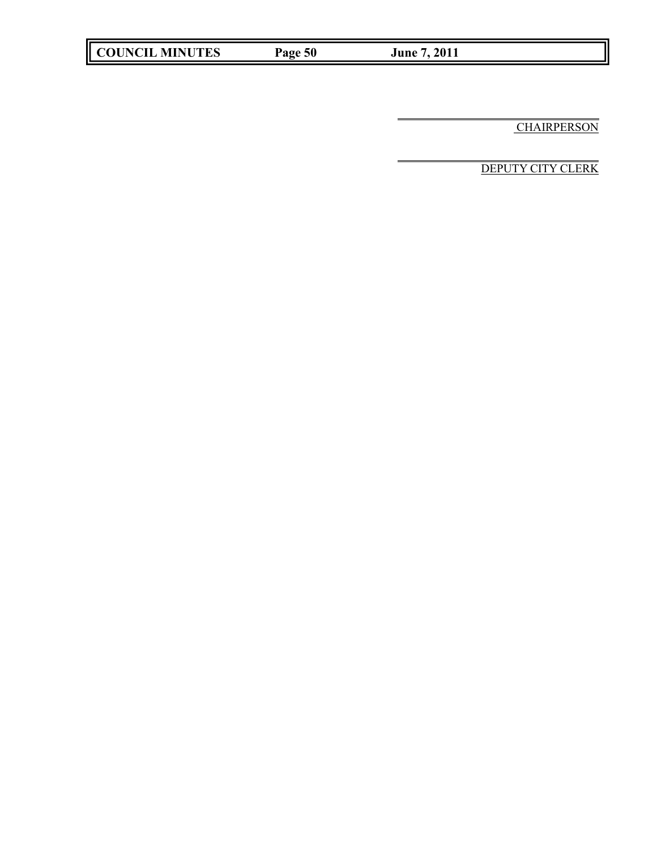**COUNCIL MINUTES Page 50 June 7, 2011**

**CHAIRPERSON**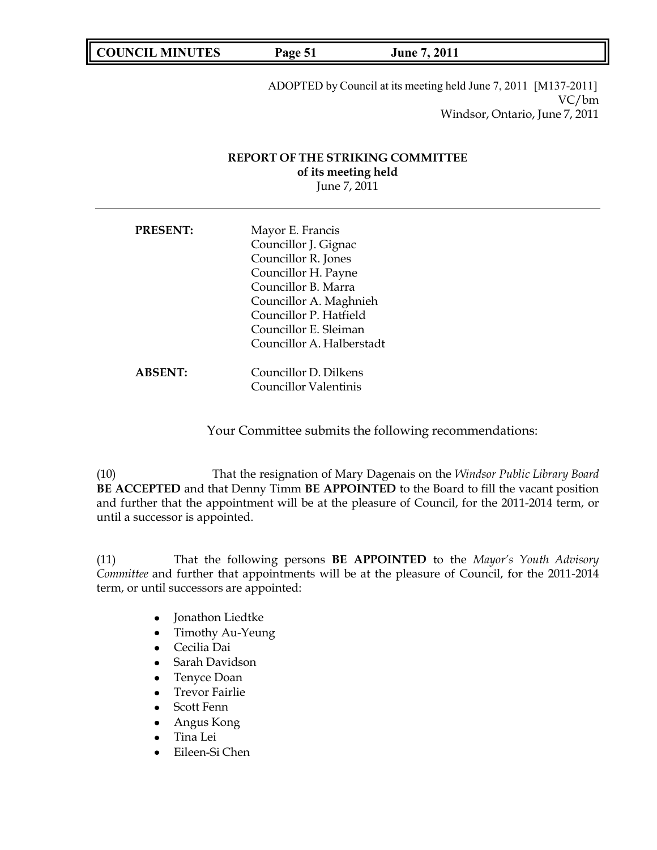**COUNCIL MINUTES Page 51 June 7, 2011**

ADOPTED by Council at its meeting held June 7, 2011 [M137-2011] VC/bm Windsor, Ontario, June 7, 2011

# **REPORT OF THE STRIKING COMMITTEE of its meeting held** June 7, 2011

| <b>PRESENT:</b> | Mayor E. Francis<br>Councillor J. Gignac<br>Councillor R. Jones<br>Councillor H. Payne<br>Councillor B. Marra<br>Councillor A. Maghnieh<br>Councillor P. Hatfield |
|-----------------|-------------------------------------------------------------------------------------------------------------------------------------------------------------------|
|                 | Councillor E. Sleiman<br>Councillor A. Halberstadt                                                                                                                |
| <b>ABSENT:</b>  | Councillor D. Dilkens<br><b>Councillor Valentinis</b>                                                                                                             |

Your Committee submits the following recommendations:

(10) That the resignation of Mary Dagenais on the *Windsor Public Library Board* **BE ACCEPTED** and that Denny Timm **BE APPOINTED** to the Board to fill the vacant position and further that the appointment will be at the pleasure of Council, for the 2011-2014 term, or until a successor is appointed.

(11) That the following persons **BE APPOINTED** to the *Mayor's Youth Advisory Committee* and further that appointments will be at the pleasure of Council, for the 2011-2014 term, or until successors are appointed:

- Jonathon Liedtke
- Timothy Au-Yeung
- Cecilia Dai
- Sarah Davidson
- Tenyce Doan
- Trevor Fairlie
- Scott Fenn
- Angus Kong
- Tina Lei
- Eileen-Si Chen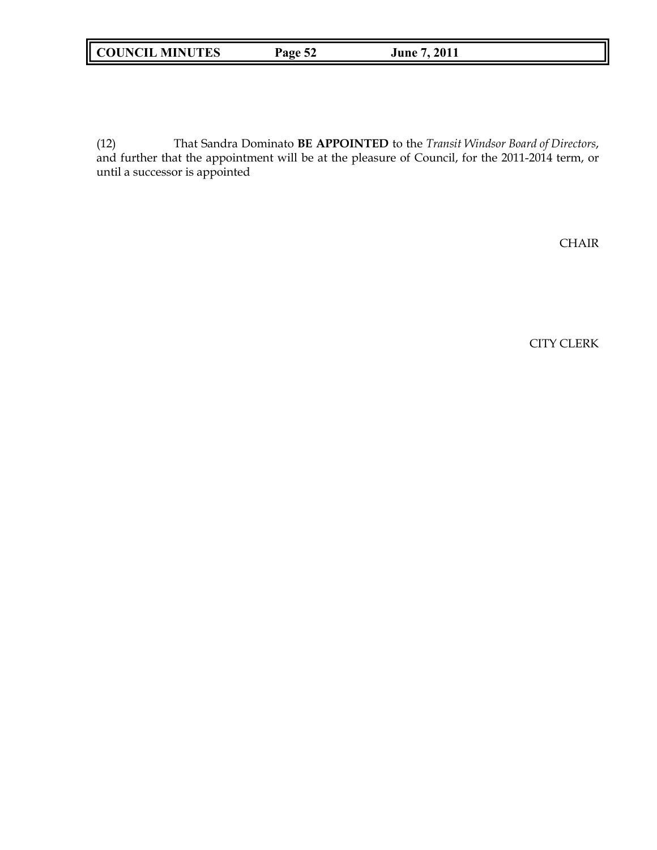# **COUNCIL MINUTES Page 52 June 7, 2011**

(12) That Sandra Dominato **BE APPOINTED** to the *Transit Windsor Board of Directors*, and further that the appointment will be at the pleasure of Council, for the 2011-2014 term, or until a successor is appointed

CHAIR

CITY CLERK